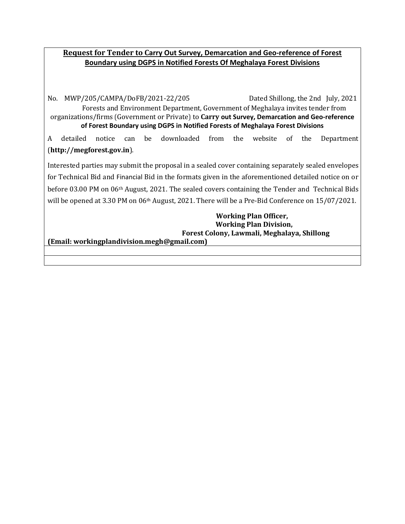# **Request for Tender to Carry Out Survey, Demarcation and Geo-reference of Forest Boundary using DGPS in Notified Forests Of Meghalaya Forest Divisions**

No. MWP/205/CAMPA/DoFB/2021-22/205 Dated Shillong, the 2nd July, 2021 Forests and Environment Department, Government of Meghalaya invites tender from organizations/firms (Government or Private) to **Carry out Survey, Demarcation and Geo-reference of Forest Boundary using DGPS in Notified Forests of Meghalaya Forest Divisions**

A detailed notice can be downloaded from the website of the Department (**[http://megforest.gov.in](http://megforest.gov.in/)**).

Interested parties may submit the proposal in a sealed cover containing separately sealed envelopes for Technical Bid and Financial Bid in the formats given in the aforementioned detailed notice on or before 03.00 PM on 06th August, 2021. The sealed covers containing the Tender and Technical Bids will be opened at 3.30 PM on 06<sup>th</sup> August, 2021. There will be a Pre-Bid Conference on 15/07/2021.

> **Working Plan Officer, Working Plan Division, Forest Colony, Lawmali, Meghalaya, Shillong**

**(Email: workingplandivision.megh@gmail.com)**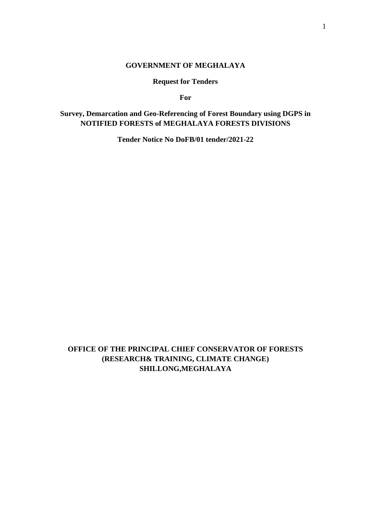### **GOVERNMENT OF MEGHALAYA**

**Request for Tenders**

**For**

# **Survey, Demarcation and Geo-Referencing of Forest Boundary using DGPS in NOTIFIED FORESTS of MEGHALAYA FORESTS DIVISIONS**

**Tender Notice No DoFB/01 tender/2021-22**

**OFFICE OF THE PRINCIPAL CHIEF CONSERVATOR OF FORESTS (RESEARCH& TRAINING, CLIMATE CHANGE) SHILLONG,MEGHALAYA**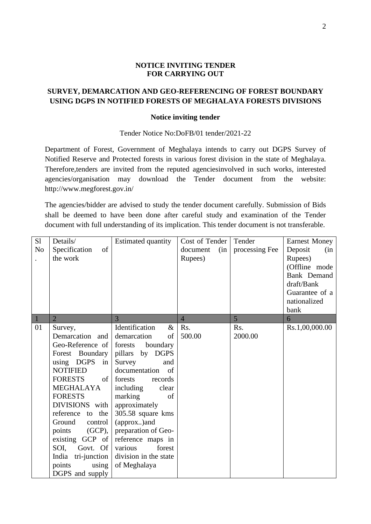#### **NOTICE INVITING TENDER FOR CARRYING OUT**

# **SURVEY, DEMARCATION AND GEO-REFERENCING OF FOREST BOUNDARY USING DGPS IN NOTIFIED FORESTS OF MEGHALAYA FORESTS DIVISIONS**

#### **Notice inviting tender**

#### Tender Notice No:DoFB/01 tender/2021-22

Department of Forest, Government of Meghalaya intends to carry out DGPS Survey of Notified Reserve and Protected forests in various forest division in the state of Meghalaya. Therefore,tenders are invited from the reputed agenciesinvolved in such works, interested agencies/organisation may download the Tender document from the website: http://www.megforest.gov.in/

The agencies/bidder are advised to study the tender document carefully. Submission of Bids shall be deemed to have been done after careful study and examination of the Tender document with full understanding of its implication. This tender document is not transferable.

| S1<br>N <sub>o</sub> | Details/<br>Specification<br>of<br>the work<br>$\overline{2}$                                                                                                                                                                                         | <b>Estimated quantity</b><br>3                                                                                                                                                                                                                                         | Cost of Tender<br>document<br>(in)<br>Rupees)<br>$\overline{4}$ | Tender<br>processing Fee<br>5 | <b>Earnest Money</b><br>Deposit<br>(in)<br>Rupees)<br>(Offline mode<br>Bank Demand<br>draft/Bank<br>Guarantee of a<br>nationalized<br>bank<br>6 |
|----------------------|-------------------------------------------------------------------------------------------------------------------------------------------------------------------------------------------------------------------------------------------------------|------------------------------------------------------------------------------------------------------------------------------------------------------------------------------------------------------------------------------------------------------------------------|-----------------------------------------------------------------|-------------------------------|-------------------------------------------------------------------------------------------------------------------------------------------------|
| 01                   | Survey,<br>Demarcation and<br>Geo-Reference of<br>Forest Boundary<br>using DGPS<br>in<br><b>NOTIFIED</b><br><b>FORESTS</b><br>of<br><b>MEGHALAYA</b><br><b>FORESTS</b><br>DIVISIONS with<br>reference to the<br>Ground<br>control<br>points<br>(GCP), | Identification<br>$\&$<br>of<br>demarcation<br>forests<br>boundary<br>pillars by DGPS<br>Survey<br>and<br>documentation<br>of<br>forests<br>records<br>including<br>clear<br>marking<br>of<br>approximately<br>305.58 square kms<br>(approx)and<br>preparation of Geo- | Rs.<br>500.00                                                   | R <sub>s</sub> .<br>2000.00   | Rs.1,00,000.00                                                                                                                                  |
|                      | existing GCP of<br>SOI,<br>Govt. Of<br>tri-junction<br>India<br>using<br>points<br>DGPS and supply                                                                                                                                                    | reference maps in<br>forest<br>various<br>division in the state<br>of Meghalaya                                                                                                                                                                                        |                                                                 |                               |                                                                                                                                                 |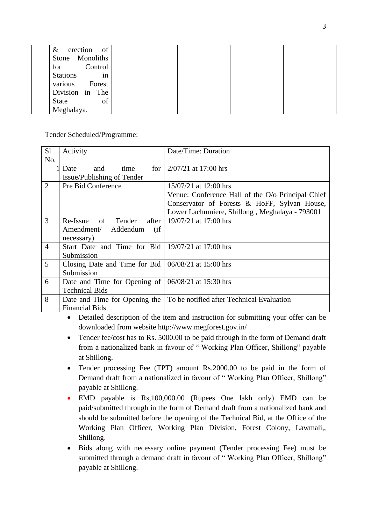| erection of<br>&      |  |  |
|-----------------------|--|--|
| Monoliths<br>Stone    |  |  |
| Control<br>for        |  |  |
| <b>Stations</b><br>in |  |  |
| various<br>Forest     |  |  |
| Division in The       |  |  |
| of<br>State           |  |  |
| Meghalaya.            |  |  |

Tender Scheduled/Programme:

| S1             | Activity                                                  | Date/Time: Duration                               |
|----------------|-----------------------------------------------------------|---------------------------------------------------|
| No.            |                                                           |                                                   |
|                | time<br>for $\vert$<br>and<br>Date                        | $2/07/21$ at 17:00 hrs                            |
|                | Issue/Publishing of Tender                                |                                                   |
| 2              | Pre Bid Conference                                        | 15/07/21 at 12:00 hrs                             |
|                |                                                           | Venue: Conference Hall of the O/o Principal Chief |
|                |                                                           | Conservator of Forests & HoFF, Sylvan House,      |
|                |                                                           | Lower Lachumiere, Shillong, Meghalaya - 793001    |
| 3              | Re-Issue of Tender<br>after                               | 19/07/21 at 17:00 hrs                             |
|                | Amendment/ Addendum<br>(i f)                              |                                                   |
|                | necessary)                                                |                                                   |
| $\overline{4}$ | Start Date and Time for Bid $\vert$ 19/07/21 at 17:00 hrs |                                                   |
|                | Submission                                                |                                                   |
| 5              | Closing Date and Time for Bid $(06/08/21$ at 15:00 hrs    |                                                   |
|                | Submission                                                |                                                   |
| 6              | Date and Time for Opening of                              | 06/08/21 at 15:30 hrs                             |
|                | <b>Technical Bids</b>                                     |                                                   |
| 8              | Date and Time for Opening the                             | To be notified after Technical Evaluation         |
|                | <b>Financial Bids</b>                                     |                                                   |

• Detailed description of the item and instruction for submitting your offer can be downloaded from website http://www.megforest.gov.in/

- Tender fee/cost has to Rs. 5000.00 to be paid through in the form of Demand draft from a nationalized bank in favour of " Working Plan Officer, Shillong" payable at Shillong.
- Tender processing Fee (TPT) amount Rs.2000.00 to be paid in the form of Demand draft from a nationalized in favour of " Working Plan Officer, Shillong" payable at Shillong.
- EMD payable is Rs,100,000.00 (Rupees One lakh only) EMD can be paid/submitted through in the form of Demand draft from a nationalized bank and should be submitted before the opening of the Technical Bid, at the Office of the Working Plan Officer, Working Plan Division, Forest Colony, Lawmali,, Shillong.
- Bids along with necessary online payment (Tender processing Fee) must be submitted through a demand draft in favour of " Working Plan Officer, Shillong" payable at Shillong.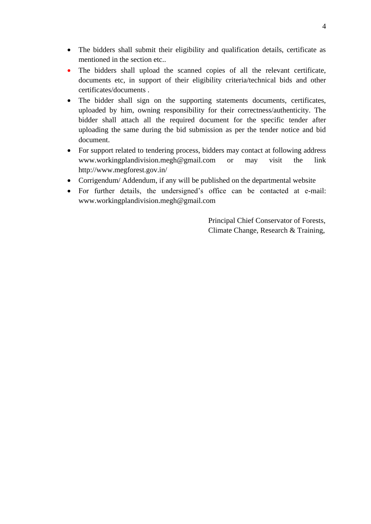- The bidders shall submit their eligibility and qualification details, certificate as mentioned in the section etc..
- The bidders shall upload the scanned copies of all the relevant certificate, documents etc, in support of their eligibility criteria/technical bids and other certificates/documents .
- The bidder shall sign on the supporting statements documents, certificates, uploaded by him, owning responsibility for their correctness/authenticity. The bidder shall attach all the required document for the specific tender after uploading the same during the bid submission as per the tender notice and bid document.
- For support related to tendering process, bidders may contact at following address www.workingplandivision.megh@gmail.com or may visit the link http://www.megforest.gov.in/
- Corrigendum/ Addendum, if any will be published on the departmental website
- For further details, the undersigned's office can be contacted at e-mail: www.workingplandivision.megh@gmail.com

Principal Chief Conservator of Forests, Climate Change, Research & Training,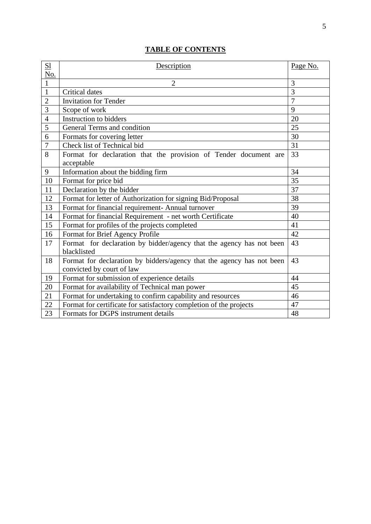# **TABLE OF CONTENTS**

| S <sub>1</sub> | Description                                                                                        | Page No.       |
|----------------|----------------------------------------------------------------------------------------------------|----------------|
| No.            |                                                                                                    |                |
| $\mathbf{1}$   | $\overline{2}$                                                                                     | 3              |
| $\mathbf{1}$   | Critical dates                                                                                     | $\overline{3}$ |
| $\overline{2}$ | <b>Invitation for Tender</b>                                                                       | $\overline{7}$ |
| 3              | Scope of work                                                                                      | 9              |
| $\overline{4}$ | Instruction to bidders                                                                             | 20             |
| 5              | General Terms and condition                                                                        | 25             |
| 6              | Formats for covering letter                                                                        | 30             |
| 7              | Check list of Technical bid                                                                        | 31             |
| 8              | Format for declaration that the provision of Tender document are                                   | 33             |
|                | acceptable                                                                                         |                |
| 9              | Information about the bidding firm                                                                 | 34             |
| 10             | Format for price bid                                                                               | 35             |
| 11             | Declaration by the bidder                                                                          | 37             |
| 12             | Format for letter of Authorization for signing Bid/Proposal                                        | 38             |
| 13             | Format for financial requirement- Annual turnover                                                  | 39             |
| 14             | Format for financial Requirement - net worth Certificate                                           | 40             |
| 15             | Format for profiles of the projects completed                                                      | 41             |
| 16             | Format for Brief Agency Profile                                                                    | 42             |
| 17             | Format for declaration by bidder/agency that the agency has not been<br>blacklisted                | 43             |
| 18             | Format for declaration by bidders/agency that the agency has not been<br>convicted by court of law | 43             |
| 19             | Format for submission of experience details                                                        | 44             |
| 20             | Format for availability of Technical man power                                                     | 45             |
| 21             | Format for undertaking to confirm capability and resources                                         | 46             |
| 22             | Format for certificate for satisfactory completion of the projects                                 | 47             |
| 23             | Formats for DGPS instrument details                                                                | 48             |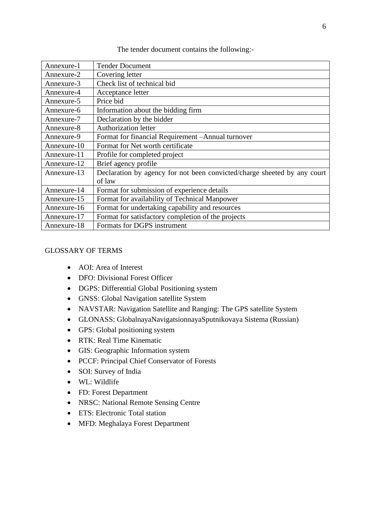| Annexure-1                                                        | <b>Tender Document</b>                                                   |  |
|-------------------------------------------------------------------|--------------------------------------------------------------------------|--|
| Annexure-2                                                        | Covering letter                                                          |  |
| Annexure-3                                                        | Check list of technical bid                                              |  |
| Annexure-4                                                        | Acceptance letter                                                        |  |
| Annexure-5                                                        | Price bid                                                                |  |
| Annexure-6                                                        | Information about the bidding firm                                       |  |
| Annexure-7                                                        | Declaration by the bidder                                                |  |
| Annexure-8                                                        | <b>Authorization letter</b>                                              |  |
| Format for financial Requirement - Annual turnover<br>Annexure-9  |                                                                          |  |
| Format for Net worth certificate<br>Annexure-10                   |                                                                          |  |
| Annexure-11                                                       | Profile for completed project                                            |  |
| Brief agency profile<br>Annexure-12                               |                                                                          |  |
| Annexure-13                                                       | Declaration by agency for not been convicted/charge sheeted by any court |  |
|                                                                   | of law                                                                   |  |
| Annexure-14                                                       | Format for submission of experience details                              |  |
| Annexure-15                                                       | Format for availability of Technical Manpower                            |  |
| Format for undertaking capability and resources<br>Annexure-16    |                                                                          |  |
| Format for satisfactory completion of the projects<br>Annexure-17 |                                                                          |  |
| Annexure-18                                                       | Formats for DGPS instrument                                              |  |

#### The tender document contains the following:-

# GLOSSARY OF TERMS

- AOI: Area of Interest
- DFO: Divisional Forest Officer
- DGPS: Differential Global Positioning system
- GNSS: Global Navigation satellite System
- NAVSTAR: Navigation Satellite and Ranging: The GPS satellite System
- GLONASS: GlobalnayaNavigatsionnayaSputnikovaya Sistema (Russian)
- GPS: Global positioning system
- RTK: Real Time Kinematic
- GIS: Geographic Information system
- PCCF: Principal Chief Conservator of Forests
- SOI: Survey of India
- WL: Wildlife
- FD: Forest Department
- NRSC: National Remote Sensing Centre
- ETS: Electronic Total station
- MFD: Meghalaya Forest Department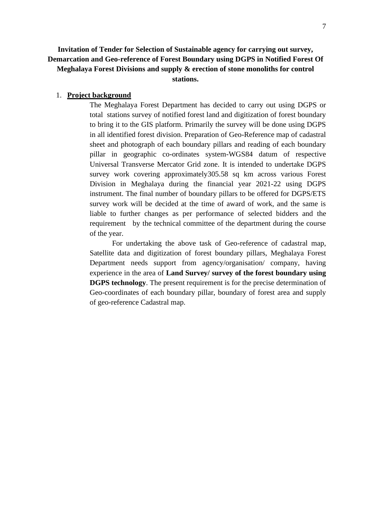# **Invitation of Tender for Selection of Sustainable agency for carrying out survey, Demarcation and Geo-reference of Forest Boundary using DGPS in Notified Forest Of Meghalaya Forest Divisions and supply & erection of stone monoliths for control stations.**

#### 1. **Project background**

The Meghalaya Forest Department has decided to carry out using DGPS or total stations survey of notified forest land and digitization of forest boundary to bring it to the GIS platform. Primarily the survey will be done using DGPS in all identified forest division. Preparation of Geo-Reference map of cadastral sheet and photograph of each boundary pillars and reading of each boundary pillar in geographic co-ordinates system-WGS84 datum of respective Universal Transverse Mercator Grid zone. It is intended to undertake DGPS survey work covering approximately 305.58 sq km across various Forest Division in Meghalaya during the financial year 2021-22 using DGPS instrument. The final number of boundary pillars to be offered for DGPS/ETS survey work will be decided at the time of award of work, and the same is liable to further changes as per performance of selected bidders and the requirement by the technical committee of the department during the course of the year.

For undertaking the above task of Geo-reference of cadastral map, Satellite data and digitization of forest boundary pillars, Meghalaya Forest Department needs support from agency/organisation/ company, having experience in the area of **Land Survey/ survey of the forest boundary using DGPS technology**. The present requirement is for the precise determination of Geo-coordinates of each boundary pillar, boundary of forest area and supply of geo-reference Cadastral map.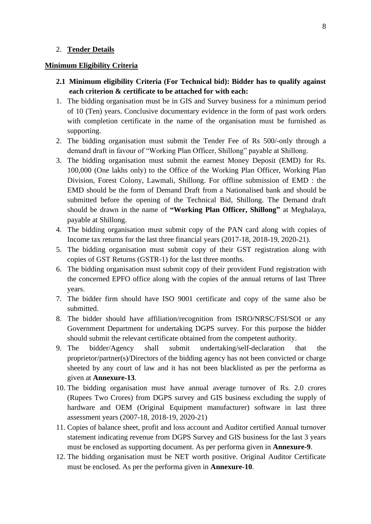#### 2. **Tender Details**

#### **Minimum Eligibility Criteria**

- **2.1 Minimum eligibility Criteria (For Technical bid): Bidder has to qualify against each criterion & certificate to be attached for with each:**
- 1. The bidding organisation must be in GIS and Survey business for a minimum period of 10 (Ten) years. Conclusive documentary evidence in the form of past work orders with completion certificate in the name of the organisation must be furnished as supporting.
- 2. The bidding organisation must submit the Tender Fee of Rs 500/-only through a demand draft in favour of "Working Plan Officer, Shillong" payable at Shillong.
- 3. The bidding organisation must submit the earnest Money Deposit (EMD) for Rs. 100,000 (One lakhs only) to the Office of the Working Plan Officer, Working Plan Division, Forest Colony, Lawmali, Shillong. For offline submission of EMD : the EMD should be the form of Demand Draft from a Nationalised bank and should be submitted before the opening of the Technical Bid, Shillong. The Demand draft should be drawn in the name of **"Working Plan Officer, Shillong"** at Meghalaya, payable at Shillong.
- 4. The bidding organisation must submit copy of the PAN card along with copies of Income tax returns for the last three financial years (2017-18, 2018-19, 2020-21).
- 5. The bidding organisation must submit copy of their GST registration along with copies of GST Returns (GSTR-1) for the last three months.
- 6. The bidding organisation must submit copy of their provident Fund registration with the concerned EPFO office along with the copies of the annual returns of last Three years.
- 7. The bidder firm should have ISO 9001 certificate and copy of the same also be submitted.
- 8. The bidder should have affiliation/recognition from ISRO/NRSC/FSI/SOI or any Government Department for undertaking DGPS survey. For this purpose the bidder should submit the relevant certificate obtained from the competent authority.
- 9. The bidder/Agency shall submit undertaking/self-declaration that the proprietor/partner(s)/Directors of the bidding agency has not been convicted or charge sheeted by any court of law and it has not been blacklisted as per the performa as given at **Annexure-13**.
- 10. The bidding organisation must have annual average turnover of Rs. 2.0 crores (Rupees Two Crores) from DGPS survey and GIS business excluding the supply of hardware and OEM (Original Equipment manufacturer) software in last three assessment years (2007-18, 2018-19, 2020-21)
- 11. Copies of balance sheet, profit and loss account and Auditor certified Annual turnover statement indicating revenue from DGPS Survey and GIS business for the last 3 years must be enclosed as supporting document. As per performa given in **Annexure-9**.
- 12. The bidding organisation must be NET worth positive. Original Auditor Certificate must be enclosed. As per the performa given in **Annexure-10**.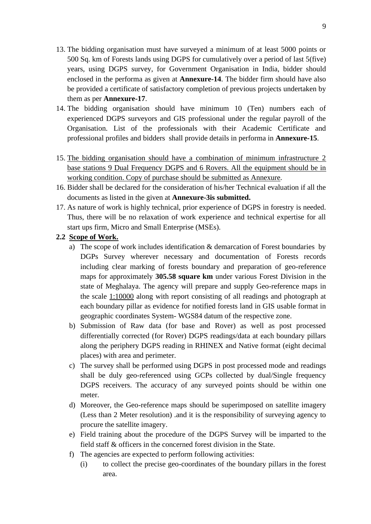- 13. The bidding organisation must have surveyed a minimum of at least 5000 points or 500 Sq. km of Forests lands using DGPS for cumulatively over a period of last 5(five) years, using DGPS survey, for Government Organisation in India, bidder should enclosed in the performa as given at **Annexure-14**. The bidder firm should have also be provided a certificate of satisfactory completion of previous projects undertaken by them as per **Annexure-17**.
- 14. The bidding organisation should have minimum 10 (Ten) numbers each of experienced DGPS surveyors and GIS professional under the regular payroll of the Organisation. List of the professionals with their Academic Certificate and professional profiles and bidders shall provide details in performa in **Annexure-15**.
- 15. The bidding organisation should have a combination of minimum infrastructure 2 base stations 9 Dual Frequency DGPS and 6 Rovers. All the equipment should be in working condition. Copy of purchase should be submitted as Annexure.
- 16. Bidder shall be declared for the consideration of his/her Technical evaluation if all the documents as listed in the given at **Annexure-3is submitted.**
- 17. As nature of work is highly technical, prior experience of DGPS in forestry is needed. Thus, there will be no relaxation of work experience and technical expertise for all start ups firm, Micro and Small Enterprise (MSEs).

# **2.2 Scope of Work.**

- a) The scope of work includes identification & demarcation of Forest boundaries by DGPs Survey wherever necessary and documentation of Forests records including clear marking of forests boundary and preparation of geo-reference maps for approximately **305.58 square km** under various Forest Division in the state of Meghalaya. The agency will prepare and supply Geo-reference maps in the scale 1:10000 along with report consisting of all readings and photograph at each boundary pillar as evidence for notified forests land in GIS usable format in geographic coordinates System- WGS84 datum of the respective zone.
- b) Submission of Raw data (for base and Rover) as well as post processed differentially corrected (for Rover) DGPS readings/data at each boundary pillars along the periphery DGPS reading in RHINEX and Native format (eight decimal places) with area and perimeter.
- c) The survey shall be performed using DGPS in post processed mode and readings shall be duly geo-referenced using GCPs collected by dual/Single frequency DGPS receivers. The accuracy of any surveyed points should be within one meter.
- d) Moreover, the Geo-reference maps should be superimposed on satellite imagery (Less than 2 Meter resolution) .and it is the responsibility of surveying agency to procure the satellite imagery.
- e) Field training about the procedure of the DGPS Survey will be imparted to the field staff & officers in the concerned forest division in the State.
- f) The agencies are expected to perform following activities:
	- (i) to collect the precise geo-coordinates of the boundary pillars in the forest area.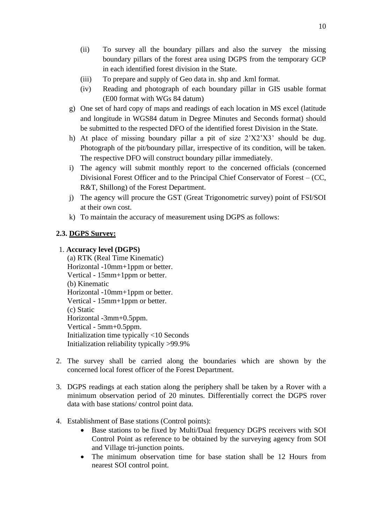- (ii) To survey all the boundary pillars and also the survey the missing boundary pillars of the forest area using DGPS from the temporary GCP in each identified forest division in the State.
- (iii) To prepare and supply of Geo data in. shp and .kml format.
- (iv) Reading and photograph of each boundary pillar in GIS usable format (E00 format with WGs 84 datum)
- g) One set of hard copy of maps and readings of each location in MS excel (latitude and longitude in WGS84 datum in Degree Minutes and Seconds format) should be submitted to the respected DFO of the identified forest Division in the State.
- h) At place of missing boundary pillar a pit of size 2'X2'X3' should be dug. Photograph of the pit/boundary pillar, irrespective of its condition, will be taken. The respective DFO will construct boundary pillar immediately.
- i) The agency will submit monthly report to the concerned officials (concerned Divisional Forest Officer and to the Principal Chief Conservator of Forest – (CC, R&T, Shillong) of the Forest Department.
- j) The agency will procure the GST (Great Trigonometric survey) point of FSI/SOI at their own cost.
- k) To maintain the accuracy of measurement using DGPS as follows:

# **2.3. DGPS Survey:**

# 1. **Accuracy level (DGPS)**

(a) RTK (Real Time Kinematic) Horizontal -10mm+1ppm or better. Vertical - 15mm+1ppm or better. (b) Kinematic Horizontal -10mm+1ppm or better. Vertical - 15mm+1ppm or better. (c) Static Horizontal -3mm+0.5ppm. Vertical - 5mm+0.5ppm. Initialization time typically <10 Seconds Initialization reliability typically >99.9%

- 2. The survey shall be carried along the boundaries which are shown by the concerned local forest officer of the Forest Department.
- 3. DGPS readings at each station along the periphery shall be taken by a Rover with a minimum observation period of 20 minutes. Differentially correct the DGPS rover data with base stations/ control point data.
- 4. Establishment of Base stations (Control points):
	- Base stations to be fixed by Multi/Dual frequency DGPS receivers with SOI Control Point as reference to be obtained by the surveying agency from SOI and Village tri-junction points.
	- The minimum observation time for base station shall be 12 Hours from nearest SOI control point.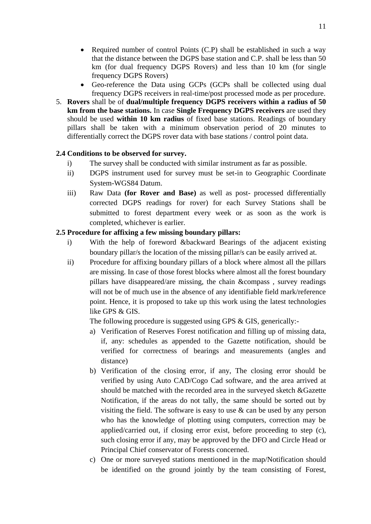- Required number of control Points (C.P) shall be established in such a way that the distance between the DGPS base station and C.P. shall be less than 50 km (for dual frequency DGPS Rovers) and less than 10 km (for single frequency DGPS Rovers)
- Geo-reference the Data using GCPs (GCPs shall be collected using dual frequency DGPS receivers in real-time/post processed mode as per procedure.
- 5. **Rovers** shall be of **dual/multiple frequency DGPS receivers within a radius of 50 km from the base stations.** In case **Single Frequency DGPS receivers** are used they should be used **within 10 km radius** of fixed base stations. Readings of boundary pillars shall be taken with a minimum observation period of 20 minutes to differentially correct the DGPS rover data with base stations / control point data.

# **2.4 Conditions to be observed for survey.**

- i) The survey shall be conducted with similar instrument as far as possible.
- ii) DGPS instrument used for survey must be set-in to Geographic Coordinate System-WGS84 Datum.
- iii) Raw Data **(for Rover and Base)** as well as post- processed differentially corrected DGPS readings for rover) for each Survey Stations shall be submitted to forest department every week or as soon as the work is completed, whichever is earlier.

# **2.5 Procedure for affixing a few missing boundary pillars:**

- i) With the help of foreword &backward Bearings of the adjacent existing boundary pillar/s the location of the missing pillar/s can be easily arrived at.
- ii) Procedure for affixing boundary pillars of a block where almost all the pillars are missing. In case of those forest blocks where almost all the forest boundary pillars have disappeared/are missing, the chain &compass , survey readings will not be of much use in the absence of any identifiable field mark/reference point. Hence, it is proposed to take up this work using the latest technologies like GPS & GIS.

The following procedure is suggested using GPS & GIS, generically:-

- a) Verification of Reserves Forest notification and filling up of missing data, if, any: schedules as appended to the Gazette notification, should be verified for correctness of bearings and measurements (angles and distance)
- b) Verification of the closing error, if any, The closing error should be verified by using Auto CAD/Cogo Cad software, and the area arrived at should be matched with the recorded area in the surveyed sketch &Gazette Notification, if the areas do not tally, the same should be sorted out by visiting the field. The software is easy to use  $\&$  can be used by any person who has the knowledge of plotting using computers, correction may be applied/carried out, if closing error exist, before proceeding to step (c), such closing error if any, may be approved by the DFO and Circle Head or Principal Chief conservator of Forests concerned.
- c) One or more surveyed stations mentioned in the map/Notification should be identified on the ground jointly by the team consisting of Forest,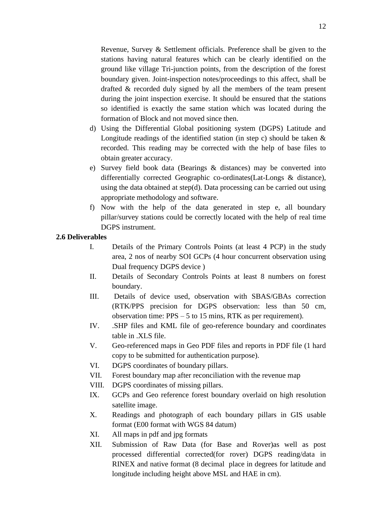Revenue, Survey & Settlement officials. Preference shall be given to the stations having natural features which can be clearly identified on the ground like village Tri-junction points, from the description of the forest boundary given. Joint-inspection notes/proceedings to this affect, shall be drafted & recorded duly signed by all the members of the team present during the joint inspection exercise. It should be ensured that the stations so identified is exactly the same station which was located during the formation of Block and not moved since then.

- d) Using the Differential Global positioning system (DGPS) Latitude and Longitude readings of the identified station (in step c) should be taken  $\&$ recorded. This reading may be corrected with the help of base files to obtain greater accuracy.
- e) Survey field book data (Bearings & distances) may be converted into differentially corrected Geographic co-ordinates(Lat-Longs & distance), using the data obtained at step(d). Data processing can be carried out using appropriate methodology and software.
- f) Now with the help of the data generated in step e, all boundary pillar/survey stations could be correctly located with the help of real time DGPS instrument.

### **2.6 Deliverables**

- I. Details of the Primary Controls Points (at least 4 PCP) in the study area, 2 nos of nearby SOI GCPs (4 hour concurrent observation using Dual frequency DGPS device )
- II. Details of Secondary Controls Points at least 8 numbers on forest boundary.
- III. Details of device used, observation with SBAS/GBAs correction (RTK/PPS precision for DGPS observation: less than 50 cm, observation time: PPS – 5 to 15 mins, RTK as per requirement).
- IV. .SHP files and KML file of geo-reference boundary and coordinates table in .XLS file.
- V. Geo-referenced maps in Geo PDF files and reports in PDF file (1 hard copy to be submitted for authentication purpose).
- VI. DGPS coordinates of boundary pillars.
- VII. Forest boundary map after reconciliation with the revenue map
- VIII. DGPS coordinates of missing pillars.
- IX. GCPs and Geo reference forest boundary overlaid on high resolution satellite image.
- X. Readings and photograph of each boundary pillars in GIS usable format (E00 format with WGS 84 datum)
- XI. All maps in pdf and jpg formats
- XII. Submission of Raw Data (for Base and Rover)as well as post processed differential corrected(for rover) DGPS reading/data in RINEX and native format (8 decimal place in degrees for latitude and longitude including height above MSL and HAE in cm).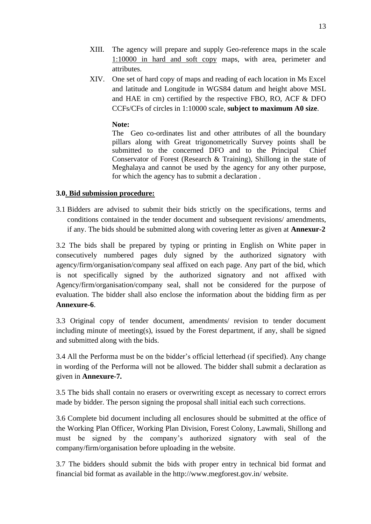- XIII. The agency will prepare and supply Geo-reference maps in the scale 1:10000 in hard and soft copy maps, with area, perimeter and attributes.
- XIV. One set of hard copy of maps and reading of each location in Ms Excel and latitude and Longitude in WGS84 datum and height above MSL and HAE in cm) certified by the respective FBO, RO, ACF & DFO CCFs/CFs of circles in 1:10000 scale, **subject to maximum A0 size**.

## **Note:**

The Geo co-ordinates list and other attributes of all the boundary pillars along with Great trigonometrically Survey points shall be submitted to the concerned DFO and to the Principal Chief Conservator of Forest (Research & Training), Shillong in the state of Meghalaya and cannot be used by the agency for any other purpose, for which the agency has to submit a declaration .

# **3.0. Bid submission procedure:**

3.1 Bidders are advised to submit their bids strictly on the specifications, terms and conditions contained in the tender document and subsequent revisions/ amendments, if any. The bids should be submitted along with covering letter as given at **Annexur-2**

3.2 The bids shall be prepared by typing or printing in English on White paper in consecutively numbered pages duly signed by the authorized signatory with agency/firm/organisation/company seal affixed on each page. Any part of the bid, which is not specifically signed by the authorized signatory and not affixed with Agency/firm/organisation/company seal, shall not be considered for the purpose of evaluation. The bidder shall also enclose the information about the bidding firm as per **Annexure-6**.

3.3 Original copy of tender document, amendments/ revision to tender document including minute of meeting(s), issued by the Forest department, if any, shall be signed and submitted along with the bids.

3.4 All the Performa must be on the bidder's official letterhead (if specified). Any change in wording of the Performa will not be allowed. The bidder shall submit a declaration as given in **Annexure-7.**

3.5 The bids shall contain no erasers or overwriting except as necessary to correct errors made by bidder. The person signing the proposal shall initial each such corrections.

3.6 Complete bid document including all enclosures should be submitted at the office of the Working Plan Officer, Working Plan Division, Forest Colony, Lawmali, Shillong and must be signed by the company's authorized signatory with seal of the company/firm/organisation before uploading in the website.

3.7 The bidders should submit the bids with proper entry in technical bid format and financial bid format as available in the http://www.megforest.gov.in/ website.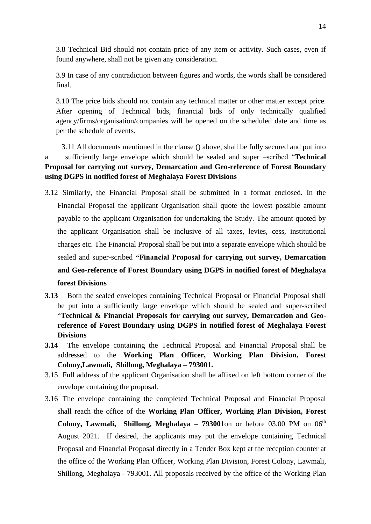3.8 Technical Bid should not contain price of any item or activity. Such cases, even if found anywhere, shall not be given any consideration.

3.9 In case of any contradiction between figures and words, the words shall be considered final.

3.10 The price bids should not contain any technical matter or other matter except price. After opening of Technical bids, financial bids of only technically qualified agency/firms/organisation/companies will be opened on the scheduled date and time as per the schedule of events.

 3.11 All documents mentioned in the clause () above, shall be fully secured and put into a sufficiently large envelope which should be sealed and super –scribed "**Technical Proposal for carrying out survey, Demarcation and Geo-reference of Forest Boundary using DGPS in notified forest of Meghalaya Forest Divisions**

- 3.12 Similarly, the Financial Proposal shall be submitted in a format enclosed. In the Financial Proposal the applicant Organisation shall quote the lowest possible amount payable to the applicant Organisation for undertaking the Study. The amount quoted by the applicant Organisation shall be inclusive of all taxes, levies, cess, institutional charges etc. The Financial Proposal shall be put into a separate envelope which should be sealed and super-scribed **"Financial Proposal for carrying out survey, Demarcation and Geo-reference of Forest Boundary using DGPS in notified forest of Meghalaya forest Divisions**
- **3.13** Both the sealed envelopes containing Technical Proposal or Financial Proposal shall be put into a sufficiently large envelope which should be sealed and super-scribed "**Technical & Financial Proposals for carrying out survey, Demarcation and Georeference of Forest Boundary using DGPS in notified forest of Meghalaya Forest Divisions**
- **3.14** The envelope containing the Technical Proposal and Financial Proposal shall be addressed to the **Working Plan Officer, Working Plan Division, Forest Colony,Lawmali, Shillong, Meghalaya – 793001.**
- 3.15 Full address of the applicant Organisation shall be affixed on left bottom corner of the envelope containing the proposal.
- 3.16 The envelope containing the completed Technical Proposal and Financial Proposal shall reach the office of the **Working Plan Officer, Working Plan Division, Forest Colony, Lawmali, Shillong, Meghalaya – 793001**on or before 03.00 PM on 06 th August 2021. If desired, the applicants may put the envelope containing Technical Proposal and Financial Proposal directly in a Tender Box kept at the reception counter at the office of the Working Plan Officer, Working Plan Division, Forest Colony, Lawmali, Shillong, Meghalaya - 793001. All proposals received by the office of the Working Plan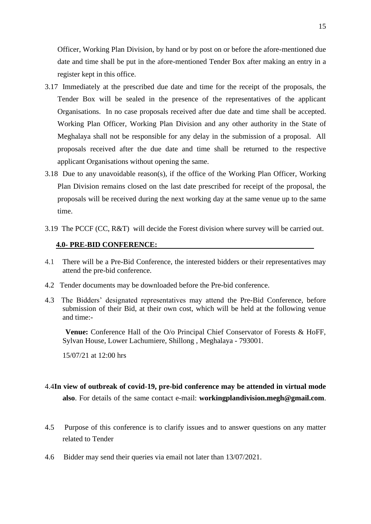Officer, Working Plan Division, by hand or by post on or before the afore-mentioned due date and time shall be put in the afore-mentioned Tender Box after making an entry in a register kept in this office.

- 3.17 Immediately at the prescribed due date and time for the receipt of the proposals, the Tender Box will be sealed in the presence of the representatives of the applicant Organisations. In no case proposals received after due date and time shall be accepted. Working Plan Officer, Working Plan Division and any other authority in the State of Meghalaya shall not be responsible for any delay in the submission of a proposal. All proposals received after the due date and time shall be returned to the respective applicant Organisations without opening the same.
- 3.18 Due to any unavoidable reason(s), if the office of the Working Plan Officer, Working Plan Division remains closed on the last date prescribed for receipt of the proposal, the proposals will be received during the next working day at the same venue up to the same time.
- 3.19 The PCCF (CC, R&T) will decide the Forest division where survey will be carried out.

#### **4.0- PRE-BID CONFERENCE:**

- 4.1 There will be a Pre-Bid Conference, the interested bidders or their representatives may attend the pre-bid conference.
- 4.2 Tender documents may be downloaded before the Pre-bid conference.
- 4.3 The Bidders' designated representatives may attend the Pre-Bid Conference, before submission of their Bid, at their own cost, which will be held at the following venue and time:-

 **Venue:** Conference Hall of the O/o Principal Chief Conservator of Forests & HoFF, Sylvan House, Lower Lachumiere, Shillong , Meghalaya - 793001.

15/07/21 at 12:00 hrs

- 4.4**In view of outbreak of covid-19, pre-bid conference may be attended in virtual mode also**. For details of the same contact e-mail: **workingplandivision.megh@gmail.com**.
- 4.5 Purpose of this conference is to clarify issues and to answer questions on any matter related to Tender
- 4.6 Bidder may send their queries via email not later than 13/07/2021.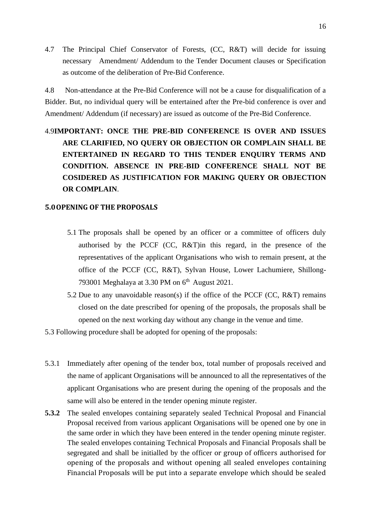4.7 The Principal Chief Conservator of Forests, (CC, R&T) will decide for issuing necessary Amendment/ Addendum to the Tender Document clauses or Specification as outcome of the deliberation of Pre-Bid Conference.

4.8 Non-attendance at the Pre-Bid Conference will not be a cause for disqualification of a Bidder. But, no individual query will be entertained after the Pre-bid conference is over and Amendment/ Addendum (if necessary) are issued as outcome of the Pre-Bid Conference.

# 4.9**IMPORTANT: ONCE THE PRE-BID CONFERENCE IS OVER AND ISSUES ARE CLARIFIED, NO QUERY OR OBJECTION OR COMPLAIN SHALL BE ENTERTAINED IN REGARD TO THIS TENDER ENQUIRY TERMS AND CONDITION. ABSENCE IN PRE-BID CONFERENCE SHALL NOT BE COSIDERED AS JUSTIFICATION FOR MAKING QUERY OR OBJECTION OR COMPLAIN**.

### **5.0OPENING OF THE PROPOSALS**

- 5.1 The proposals shall be opened by an officer or a committee of officers duly authorised by the PCCF (CC, R&T)in this regard, in the presence of the representatives of the applicant Organisations who wish to remain present, at the office of the PCCF (CC, R&T), Sylvan House, Lower Lachumiere, Shillong-793001 Meghalaya at 3.30 PM on 6<sup>th</sup> August 2021.
- 5.2 Due to any unavoidable reason(s) if the office of the PCCF (CC, R&T) remains closed on the date prescribed for opening of the proposals, the proposals shall be opened on the next working day without any change in the venue and time.
- 5.3 Following procedure shall be adopted for opening of the proposals:
- 5.3.1 Immediately after opening of the tender box, total number of proposals received and the name of applicant Organisations will be announced to all the representatives of the applicant Organisations who are present during the opening of the proposals and the same will also be entered in the tender opening minute register.
- **5.3.2** The sealed envelopes containing separately sealed Technical Proposal and Financial Proposal received from various applicant Organisations will be opened one by one in the same order in which they have been entered in the tender opening minute register. The sealed envelopes containing Technical Proposals and Financial Proposals shall be segregated and shall be initialled by the officer or group of officers authorised for opening of the proposals and without opening all sealed envelopes containing Financial Proposals will be put into a separate envelope which should be sealed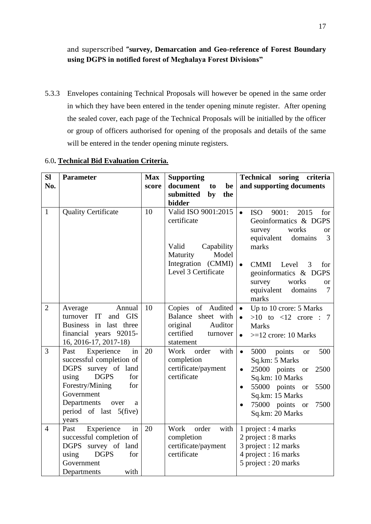and superscribed **"survey, Demarcation and Geo-reference of Forest Boundary using DGPS in notified forest of Meghalaya Forest Divisions"**

5.3.3 Envelopes containing Technical Proposals will however be opened in the same order in which they have been entered in the tender opening minute register. After opening the sealed cover, each page of the Technical Proposals will be initialled by the officer or group of officers authorised for opening of the proposals and details of the same will be entered in the tender opening minute registers.

| <b>SI</b><br>No. | <b>Parameter</b>                                                                                                                                                                                                            | <b>Max</b><br>score | <b>Supporting</b><br>document<br>to<br>be<br>submitted<br>by<br>the                                  | Technical soring criteria<br>and supporting documents                                                                                                                                                                    |
|------------------|-----------------------------------------------------------------------------------------------------------------------------------------------------------------------------------------------------------------------------|---------------------|------------------------------------------------------------------------------------------------------|--------------------------------------------------------------------------------------------------------------------------------------------------------------------------------------------------------------------------|
| $\mathbf{1}$     | <b>Quality Certificate</b>                                                                                                                                                                                                  | 10                  | bidder<br>Valid ISO 9001:2015<br>certificate<br>Valid<br>Capability<br>Model<br>Maturity             | 9001:<br>$\bullet$<br><b>ISO</b><br>2015<br>for<br>Geoinformatics & DGPS<br>works<br>survey<br><b>or</b><br>equivalent<br>3<br>domains<br>marks                                                                          |
|                  |                                                                                                                                                                                                                             |                     | Integration (CMMI)<br>Level 3 Certificate                                                            | $\bullet$<br>Level<br><b>CMMI</b><br>$\overline{\mathbf{3}}$<br>for<br>geoinformatics & DGPS<br>survey<br>works<br><b>or</b><br>equivalent<br>domains<br>$\overline{7}$<br>marks                                         |
| $\overline{2}$   | Annual<br>Average<br>turnover IT<br>and GIS<br>Business in last three<br>financial years 92015-<br>16, 2016-17, 2017-18)                                                                                                    | 10                  | Copies of Audited<br>Balance sheet with<br>original<br>Auditor<br>certified<br>turnover<br>statement | Up to 10 crore: 5 Marks<br>$\bullet$<br>$>10$ to $<12$ crore : 7<br><b>Marks</b><br>$>=12$ crore: 10 Marks<br>$\bullet$                                                                                                  |
| 3                | in<br>Experience<br>Past<br>successful completion of<br><b>DGPS</b><br>survey of land<br><b>DGPS</b><br>using<br>for<br>Forestry/Mining<br>for<br>Government<br>Departments<br>over<br>a<br>period of last 5(five)<br>years | 20                  | with<br>Work<br>order<br>completion<br>certificate/payment<br>certificate                            | $\bullet$<br>5000<br>500<br>points<br><b>or</b><br>Sq.km: 5 Marks<br>25000 points or<br>2500<br>$\bullet$<br>Sq.km: 10 Marks<br>55000 points or<br>5500<br>Sq.km: 15 Marks<br>75000 points or<br>7500<br>Sq.km: 20 Marks |
| $\overline{4}$   | $\overline{\text{in}}$<br>Experience<br>Past<br>successful completion of<br><b>DGPS</b><br>survey of land<br><b>DGPS</b><br>using<br>for<br>Government<br>with<br>Departments                                               | 20                  | with<br>Work<br>order<br>completion<br>certificate/payment<br>certificate                            | 1 project : 4 marks<br>2 project : 8 marks<br>3 project : 12 marks<br>4 project : 16 marks<br>5 project : 20 marks                                                                                                       |

### 6.0**. Technical Bid Evaluation Criteria.**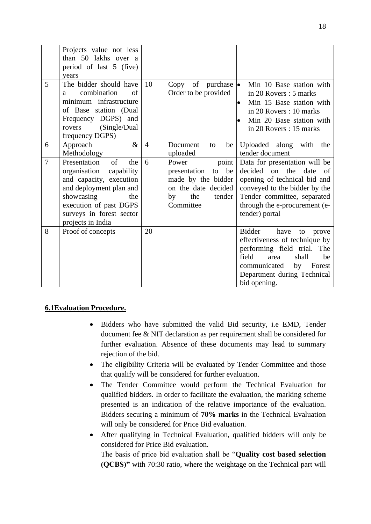|                | Projects value not less<br>than 50 lakhs over a<br>period of last 5 (five)<br>years                                                                                                                           |                |                                                                                                                             |                                                                                                                                                                                                                     |
|----------------|---------------------------------------------------------------------------------------------------------------------------------------------------------------------------------------------------------------|----------------|-----------------------------------------------------------------------------------------------------------------------------|---------------------------------------------------------------------------------------------------------------------------------------------------------------------------------------------------------------------|
| 5              | The bidder should have<br>combination<br>of<br>a<br>minimum infrastructure<br>of Base station (Dual<br>Frequency DGPS) and<br>(Single/Dual)<br>rovers<br>frequency DGPS)                                      | 10             | Copy of purchase $\bullet$<br>Order to be provided                                                                          | Min 10 Base station with<br>in 20 Rovers: 5 marks<br>Min 15 Base station with<br>in 20 Rovers: 10 marks<br>Min 20 Base station with<br>in 20 Rovers: 15 marks                                                       |
| 6              | $\&$<br>Approach<br>Methodology                                                                                                                                                                               | $\overline{4}$ | Document<br>be<br>to<br>uploaded                                                                                            | Uploaded along with the<br>tender document                                                                                                                                                                          |
| $\overline{7}$ | Presentation<br>of<br>the<br>organisation<br>capability<br>and capacity, execution<br>and deployment plan and<br>showcasing<br>the<br>execution of past DGPS<br>surveys in forest sector<br>projects in India | 6              | Power<br>point<br>be<br>to<br>presentation<br>made by the bidder<br>on the date decided<br>the<br>tender<br>by<br>Committee | Data for presentation will be<br>decided on the<br>date<br>of<br>opening of technical bid and<br>conveyed to the bidder by the<br>Tender committee, separated<br>through the e-procurement (e-<br>tender) portal    |
| 8              | Proof of concepts                                                                                                                                                                                             | 20             |                                                                                                                             | <b>Bidder</b><br>have<br>to<br>prove<br>effectiveness of technique by<br>performing field trial. The<br>field<br>area<br>shall<br>be<br>communicated<br>by<br>Forest<br>Department during Technical<br>bid opening. |

# **6.1Evaluation Procedure.**

- Bidders who have submitted the valid Bid security, i.e EMD, Tender document fee & NIT declaration as per requirement shall be considered for further evaluation. Absence of these documents may lead to summary rejection of the bid.
- The eligibility Criteria will be evaluated by Tender Committee and those that qualify will be considered for further evaluation.
- The Tender Committee would perform the Technical Evaluation for qualified bidders. In order to facilitate the evaluation, the marking scheme presented is an indication of the relative importance of the evaluation. Bidders securing a minimum of **70% marks** in the Technical Evaluation will only be considered for Price Bid evaluation.
- After qualifying in Technical Evaluation, qualified bidders will only be considered for Price Bid evaluation.

The basis of price bid evaluation shall be "**Quality cost based selection (QCBS)"** with 70:30 ratio, where the weightage on the Technical part will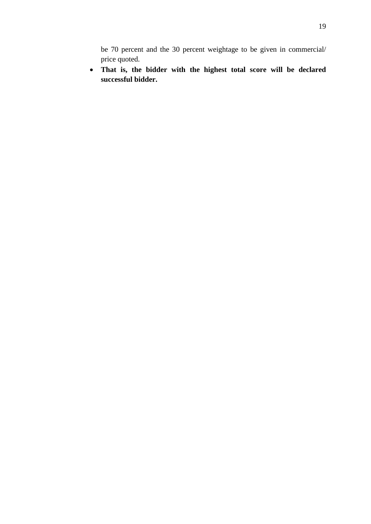be 70 percent and the 30 percent weightage to be given in commercial/ price quoted.

• **That is, the bidder with the highest total score will be declared successful bidder.**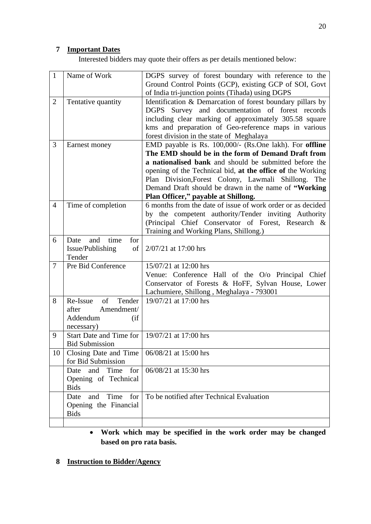# **7 Important Dates**

Interested bidders may quote their offers as per details mentioned below:

| Name of Work                                                             | DGPS survey of forest boundary with reference to the<br>Ground Control Points (GCP), existing GCP of SOI, Govt                                                                                                                                                                                                                                                                              |
|--------------------------------------------------------------------------|---------------------------------------------------------------------------------------------------------------------------------------------------------------------------------------------------------------------------------------------------------------------------------------------------------------------------------------------------------------------------------------------|
| Tentative quantity                                                       | of India tri-junction points (Tihada) using DGPS<br>Identification & Demarcation of forest boundary pillars by<br>DGPS Survey and documentation of forest records<br>including clear marking of approximately 305.58 square<br>kms and preparation of Geo-reference maps in various<br>forest division in the state of Meghalaya                                                            |
| Earnest money                                                            | EMD payable is Rs. 100,000/- (Rs.One lakh). For offline<br>The EMD should be in the form of Demand Draft from<br>a nationalised bank and should be submitted before the<br>opening of the Technical bid, at the office of the Working<br>Plan Division, Forest Colony, Lawmali Shillong. The<br>Demand Draft should be drawn in the name of "Working<br>Plan Officer," payable at Shillong. |
| Time of completion                                                       | 6 months from the date of issue of work order or as decided<br>by the competent authority/Tender inviting Authority<br>(Principal Chief Conservator of Forest, Research &<br>Training and Working Plans, Shillong.)                                                                                                                                                                         |
| time<br>Date<br>and<br>for<br>Issue/Publishing<br>Tender                 | 2/07/21 at 17:00 hrs                                                                                                                                                                                                                                                                                                                                                                        |
| Pre Bid Conference                                                       | 15/07/21 at 12:00 hrs<br>Venue: Conference Hall of the O/o Principal Chief<br>Conservator of Forests & HoFF, Sylvan House, Lower<br>Lachumiere, Shillong, Meghalaya - 793001                                                                                                                                                                                                                |
| of<br>Re-Issue<br>Amendment/<br>after<br>Addendum<br>(i f)<br>necessary) | 19/07/21 at 17:00 hrs                                                                                                                                                                                                                                                                                                                                                                       |
| <b>Bid Submission</b>                                                    | 19/07/21 at 17:00 hrs                                                                                                                                                                                                                                                                                                                                                                       |
| Closing Date and Time<br>for Bid Submission                              | 06/08/21 at 15:00 hrs                                                                                                                                                                                                                                                                                                                                                                       |
| Time<br>for<br>and<br>Date<br>Opening of Technical<br><b>Bids</b>        | 06/08/21 at 15:30 hrs                                                                                                                                                                                                                                                                                                                                                                       |
| Time<br>for<br>Date<br>and<br>Opening the Financial<br><b>Bids</b>       | To be notified after Technical Evaluation                                                                                                                                                                                                                                                                                                                                                   |
|                                                                          | of 1<br>Tender<br>Start Date and Time for                                                                                                                                                                                                                                                                                                                                                   |

- **Work which may be specified in the work order may be changed based on pro rata basis.**
- **8 Instruction to Bidder/Agency**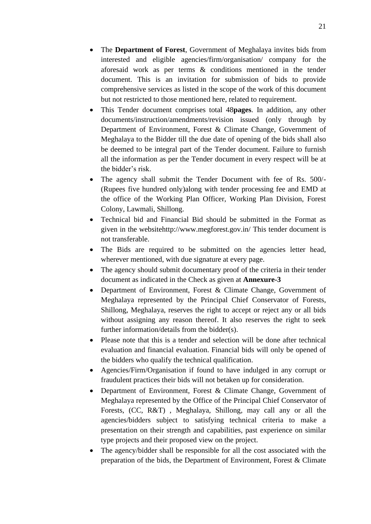- The **Department of Forest**, Government of Meghalaya invites bids from interested and eligible agencies/firm/organisation/ company for the aforesaid work as per terms & conditions mentioned in the tender document. This is an invitation for submission of bids to provide comprehensive services as listed in the scope of the work of this document but not restricted to those mentioned here, related to requirement.
- This Tender document comprises total 48**pages**. In addition, any other documents/instruction/amendments/revision issued (only through by Department of Environment, Forest & Climate Change, Government of Meghalaya to the Bidder till the due date of opening of the bids shall also be deemed to be integral part of the Tender document. Failure to furnish all the information as per the Tender document in every respect will be at the bidder's risk.
- The agency shall submit the Tender Document with fee of Rs. 500/-(Rupees five hundred only)along with tender processing fee and EMD at the office of the Working Plan Officer, Working Plan Division, Forest Colony, Lawmali, Shillong.
- Technical bid and Financial Bid should be submitted in the Format as given in the websitehttp://www.megforest.gov.in/ This tender document is not transferable.
- The Bids are required to be submitted on the agencies letter head, wherever mentioned, with due signature at every page.
- The agency should submit documentary proof of the criteria in their tender document as indicated in the Check as given at **Annexure-3**
- Department of Environment, Forest & Climate Change, Government of Meghalaya represented by the Principal Chief Conservator of Forests, Shillong, Meghalaya, reserves the right to accept or reject any or all bids without assigning any reason thereof. It also reserves the right to seek further information/details from the bidder(s).
- Please note that this is a tender and selection will be done after technical evaluation and financial evaluation. Financial bids will only be opened of the bidders who qualify the technical qualification.
- Agencies/Firm/Organisation if found to have indulged in any corrupt or fraudulent practices their bids will not betaken up for consideration.
- Department of Environment, Forest & Climate Change, Government of Meghalaya represented by the Office of the Principal Chief Conservator of Forests, (CC, R&T) , Meghalaya, Shillong, may call any or all the agencies/bidders subject to satisfying technical criteria to make a presentation on their strength and capabilities, past experience on similar type projects and their proposed view on the project.
- The agency/bidder shall be responsible for all the cost associated with the preparation of the bids, the Department of Environment, Forest & Climate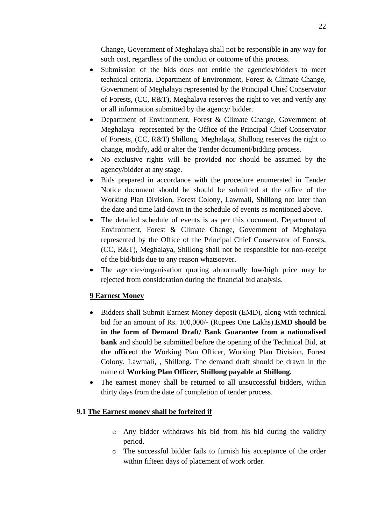Change, Government of Meghalaya shall not be responsible in any way for such cost, regardless of the conduct or outcome of this process.

- Submission of the bids does not entitle the agencies/bidders to meet technical criteria. Department of Environment, Forest & Climate Change, Government of Meghalaya represented by the Principal Chief Conservator of Forests, (CC, R&T), Meghalaya reserves the right to vet and verify any or all information submitted by the agency/ bidder.
- Department of Environment, Forest & Climate Change, Government of Meghalaya represented by the Office of the Principal Chief Conservator of Forests, (CC, R&T) Shillong, Meghalaya, Shillong reserves the right to change, modify, add or alter the Tender document/bidding process.
- No exclusive rights will be provided nor should be assumed by the agency/bidder at any stage.
- Bids prepared in accordance with the procedure enumerated in Tender Notice document should be should be submitted at the office of the Working Plan Division, Forest Colony, Lawmali, Shillong not later than the date and time laid down in the schedule of events as mentioned above.
- The detailed schedule of events is as per this document. Department of Environment, Forest & Climate Change, Government of Meghalaya represented by the Office of the Principal Chief Conservator of Forests, (CC, R&T), Meghalaya, Shillong shall not be responsible for non-receipt of the bid/bids due to any reason whatsoever.
- The agencies/organisation quoting abnormally low/high price may be rejected from consideration during the financial bid analysis.

# **9 Earnest Money**

- Bidders shall Submit Earnest Money deposit (EMD), along with technical bid for an amount of Rs. 100,000/- (Rupees One Lakhs).**EMD should be in the form of Demand Draft/ Bank Guarantee from a nationalised bank** and should be submitted before the opening of the Technical Bid, **at the office**of the Working Plan Officer, Working Plan Division, Forest Colony, Lawmali, , Shillong. The demand draft should be drawn in the name of **Working Plan Officer, Shillong payable at Shillong.**
- The earnest money shall be returned to all unsuccessful bidders, within thirty days from the date of completion of tender process.

### **9.1 The Earnest money shall be forfeited if**

- o Any bidder withdraws his bid from his bid during the validity period.
- o The successful bidder fails to furnish his acceptance of the order within fifteen days of placement of work order.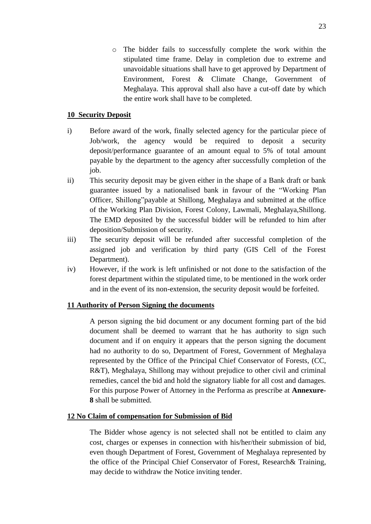o The bidder fails to successfully complete the work within the stipulated time frame. Delay in completion due to extreme and unavoidable situations shall have to get approved by Department of Environment, Forest & Climate Change, Government of Meghalaya. This approval shall also have a cut-off date by which the entire work shall have to be completed.

# **10 Security Deposit**

- i) Before award of the work, finally selected agency for the particular piece of Job/work, the agency would be required to deposit a security deposit/performance guarantee of an amount equal to 5% of total amount payable by the department to the agency after successfully completion of the job.
- ii) This security deposit may be given either in the shape of a Bank draft or bank guarantee issued by a nationalised bank in favour of the "Working Plan Officer, Shillong"payable at Shillong, Meghalaya and submitted at the office of the Working Plan Division, Forest Colony, Lawmali, Meghalaya,Shillong. The EMD deposited by the successful bidder will be refunded to him after deposition/Submission of security.
- iii) The security deposit will be refunded after successful completion of the assigned job and verification by third party (GIS Cell of the Forest Department).
- iv) However, if the work is left unfinished or not done to the satisfaction of the forest department within the stipulated time, to be mentioned in the work order and in the event of its non-extension, the security deposit would be forfeited.

### **11 Authority of Person Signing the documents**

A person signing the bid document or any document forming part of the bid document shall be deemed to warrant that he has authority to sign such document and if on enquiry it appears that the person signing the document had no authority to do so, Department of Forest, Government of Meghalaya represented by the Office of the Principal Chief Conservator of Forests, (CC, R&T), Meghalaya, Shillong may without prejudice to other civil and criminal remedies, cancel the bid and hold the signatory liable for all cost and damages. For this purpose Power of Attorney in the Performa as prescribe at **Annexure-8** shall be submitted.

### **12 No Claim of compensation for Submission of Bid**

The Bidder whose agency is not selected shall not be entitled to claim any cost, charges or expenses in connection with his/her/their submission of bid, even though Department of Forest, Government of Meghalaya represented by the office of the Principal Chief Conservator of Forest, Research& Training, may decide to withdraw the Notice inviting tender.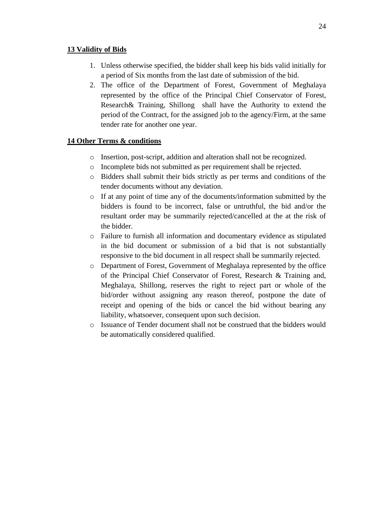#### **13 Validity of Bids**

- 1. Unless otherwise specified, the bidder shall keep his bids valid initially for a period of Six months from the last date of submission of the bid.
- 2. The office of the Department of Forest, Government of Meghalaya represented by the office of the Principal Chief Conservator of Forest, Research& Training, Shillong shall have the Authority to extend the period of the Contract, for the assigned job to the agency/Firm, at the same tender rate for another one year.

### **14 Other Terms & conditions**

- o Insertion, post-script, addition and alteration shall not be recognized.
- o Incomplete bids not submitted as per requirement shall be rejected.
- o Bidders shall submit their bids strictly as per terms and conditions of the tender documents without any deviation.
- o If at any point of time any of the documents/information submitted by the bidders is found to be incorrect, false or untruthful, the bid and/or the resultant order may be summarily rejected/cancelled at the at the risk of the bidder.
- o Failure to furnish all information and documentary evidence as stipulated in the bid document or submission of a bid that is not substantially responsive to the bid document in all respect shall be summarily rejected.
- o Department of Forest, Government of Meghalaya represented by the office of the Principal Chief Conservator of Forest, Research & Training and, Meghalaya, Shillong, reserves the right to reject part or whole of the bid/order without assigning any reason thereof, postpone the date of receipt and opening of the bids or cancel the bid without bearing any liability, whatsoever, consequent upon such decision.
- o Issuance of Tender document shall not be construed that the bidders would be automatically considered qualified.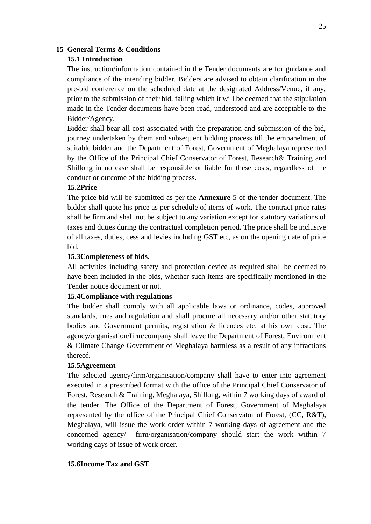### **15 General Terms & Conditions**

# **15.1 Introduction**

The instruction/information contained in the Tender documents are for guidance and compliance of the intending bidder. Bidders are advised to obtain clarification in the pre-bid conference on the scheduled date at the designated Address/Venue, if any, prior to the submission of their bid, failing which it will be deemed that the stipulation made in the Tender documents have been read, understood and are acceptable to the Bidder/Agency.

Bidder shall bear all cost associated with the preparation and submission of the bid, journey undertaken by them and subsequent bidding process till the empanelment of suitable bidder and the Department of Forest, Government of Meghalaya represented by the Office of the Principal Chief Conservator of Forest, Research& Training and Shillong in no case shall be responsible or liable for these costs, regardless of the conduct or outcome of the bidding process.

# **15.2Price**

The price bid will be submitted as per the **Annexure-**5 of the tender document. The bidder shall quote his price as per schedule of items of work. The contract price rates shall be firm and shall not be subject to any variation except for statutory variations of taxes and duties during the contractual completion period. The price shall be inclusive of all taxes, duties, cess and levies including GST etc, as on the opening date of price bid.

#### **15.3Completeness of bids.**

All activities including safety and protection device as required shall be deemed to have been included in the bids, whether such items are specifically mentioned in the Tender notice document or not.

#### **15.4Compliance with regulations**

The bidder shall comply with all applicable laws or ordinance, codes, approved standards, rues and regulation and shall procure all necessary and/or other statutory bodies and Government permits, registration & licences etc. at his own cost. The agency/organisation/firm/company shall leave the Department of Forest, Environment & Climate Change Government of Meghalaya harmless as a result of any infractions thereof.

#### **15.5Agreement**

The selected agency/firm/organisation/company shall have to enter into agreement executed in a prescribed format with the office of the Principal Chief Conservator of Forest, Research & Training, Meghalaya, Shillong, within 7 working days of award of the tender. The Office of the Department of Forest, Government of Meghalaya represented by the office of the Principal Chief Conservator of Forest, (CC, R&T), Meghalaya, will issue the work order within 7 working days of agreement and the concerned agency/ firm/organisation/company should start the work within 7 working days of issue of work order.

#### **15.6Income Tax and GST**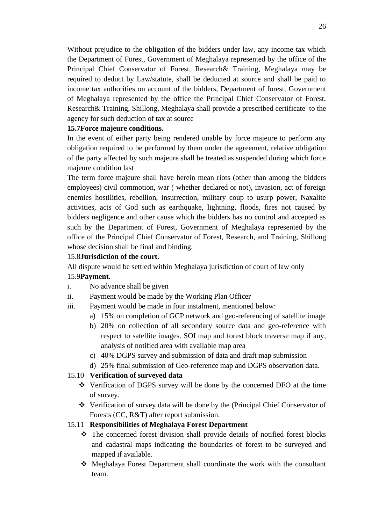Without prejudice to the obligation of the bidders under law, any income tax which the Department of Forest, Government of Meghalaya represented by the office of the Principal Chief Conservator of Forest, Research& Training, Meghalaya may be required to deduct by Law/statute, shall be deducted at source and shall be paid to income tax authorities on account of the bidders, Department of forest, Government of Meghalaya represented by the office the Principal Chief Conservator of Forest, Research& Training, Shillong, Meghalaya shall provide a prescribed certificate to the agency for such deduction of tax at source

## **15.7Force majeure conditions.**

In the event of either party being rendered unable by force majeure to perform any obligation required to be performed by them under the agreement, relative obligation of the party affected by such majeure shall be treated as suspended during which force majeure condition last

The term force majeure shall have herein mean riots (other than among the bidders employees) civil commotion, war ( whether declared or not), invasion, act of foreign enemies hostilities, rebellion, insurrection, military coup to usurp power, Naxalite activities, acts of God such as earthquake, lightning, floods, fires not caused by bidders negligence and other cause which the bidders has no control and accepted as such by the Department of Forest, Government of Meghalaya represented by the office of the Principal Chief Conservator of Forest, Research, and Training, Shillong whose decision shall be final and binding.

# 15.8**Jurisdiction of the court.**

All dispute would be settled within Meghalaya jurisdiction of court of law only

### 15.9**Payment.**

- i. No advance shall be given
- ii. Payment would be made by the Working Plan Officer
- iii. Payment would be made in four instalment, mentioned below:
	- a) 15% on completion of GCP network and geo-referencing of satellite image
	- b) 20% on collection of all secondary source data and geo-reference with respect to satellite images. SOI map and forest block traverse map if any, analysis of notified area with available map area
	- c) 40% DGPS survey and submission of data and draft map submission
	- d) 25% final submission of Geo-reference map and DGPS observation data.

# 15.10 **Verification of surveyed data**

- ❖ Verification of DGPS survey will be done by the concerned DFO at the time of survey.
- ❖ Verification of survey data will be done by the (Principal Chief Conservator of Forests (CC, R&T) after report submission.

# 15.11 **Responsibilities of Meghalaya Forest Department**

- ❖ The concerned forest division shall provide details of notified forest blocks and cadastral maps indicating the boundaries of forest to be surveyed and mapped if available.
- ❖ Meghalaya Forest Department shall coordinate the work with the consultant team.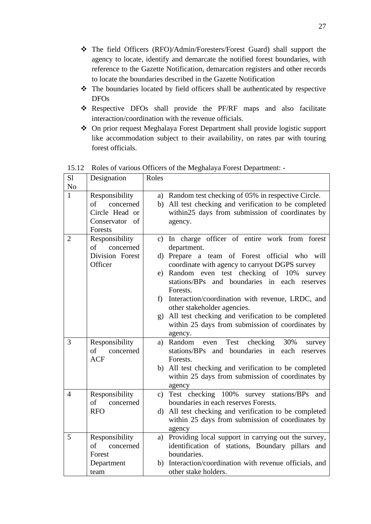- ❖ The field Officers (RFO)/Admin/Foresters/Forest Guard) shall support the agency to locate, identify and demarcate the notified forest boundaries, with reference to the Gazette Notification, demarcation registers and other records to locate the boundaries described in the Gazette Notification
- ❖ The boundaries located by field officers shall be authenticated by respective DFOs
- ❖ Respective DFOs shall provide the PF/RF maps and also facilitate interaction/coordination with the revenue officials.
- ❖ On prior request Meghalaya Forest Department shall provide logistic support like accommodation subject to their availability, on rates par with touring forest officials.

| S1<br>N <sub>o</sub> | Designation                                                                      | Roles                                                                                                                                                                                                                                                                                                                                                                                                                                                                                                  |
|----------------------|----------------------------------------------------------------------------------|--------------------------------------------------------------------------------------------------------------------------------------------------------------------------------------------------------------------------------------------------------------------------------------------------------------------------------------------------------------------------------------------------------------------------------------------------------------------------------------------------------|
| $\mathbf{1}$         | Responsibility<br>concerned<br>of<br>Circle Head or<br>Conservator of<br>Forests | a) Random test checking of 05% in respective Circle.<br>All test checking and verification to be completed<br>b)<br>within25 days from submission of coordinates by<br>agency.                                                                                                                                                                                                                                                                                                                         |
| $\overline{2}$       | Responsibility<br>$\sigma f$<br>concerned<br>Division Forest<br>Officer          | c) In charge officer of entire work from forest<br>department.<br>team of Forest official who will<br>d) Prepare a<br>coordinate with agency to carryout DGPS survey<br>e) Random even test checking of 10%<br>survey<br>and boundaries in each reserves<br>stations/BPs<br>Forests.<br>f) Interaction/coordination with revenue, LRDC, and<br>other stakeholder agencies.<br>All test checking and verification to be completed<br>(g)<br>within 25 days from submission of coordinates by<br>agency. |
| 3                    | Responsibility<br>of<br>concerned<br><b>ACF</b>                                  | checking<br>30%<br>a) Random<br>Test<br>even<br>survey<br>stations/BPs and boundaries in each reserves<br>Forests.<br>b) All test checking and verification to be completed<br>within 25 days from submission of coordinates by<br>agency                                                                                                                                                                                                                                                              |
| $\overline{4}$       | Responsibility<br>of<br>concerned<br><b>RFO</b>                                  | c) Test checking 100% survey stations/BPs and<br>boundaries in each reserves Forests.<br>d) All test checking and verification to be completed<br>within 25 days from submission of coordinates by<br>agency                                                                                                                                                                                                                                                                                           |
| 5                    | Responsibility<br>concerned<br>of<br>Forest<br>Department<br>team                | Providing local support in carrying out the survey,<br>a)<br>identification of stations, Boundary pillars and<br>boundaries.<br>b) Interaction/coordination with revenue officials, and<br>other stake holders.                                                                                                                                                                                                                                                                                        |

15.12 Roles of various Officers of the Meghalaya Forest Department: -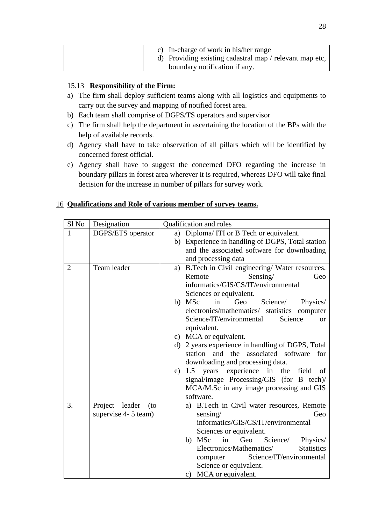| c) In-charge of work in his/her range<br>d) Providing existing cadastral map / relevant map etc, |
|--------------------------------------------------------------------------------------------------|
| boundary notification if any.                                                                    |

# 15.13 **Responsibility of the Firm:**

- a) The firm shall deploy sufficient teams along with all logistics and equipments to carry out the survey and mapping of notified forest area.
- b) Each team shall comprise of DGPS/TS operators and supervisor
- c) The firm shall help the department in ascertaining the location of the BPs with the help of available records.
- d) Agency shall have to take observation of all pillars which will be identified by concerned forest official.
- e) Agency shall have to suggest the concerned DFO regarding the increase in boundary pillars in forest area wherever it is required, whereas DFO will take final decision for the increase in number of pillars for survey work.

# 16 **Qualifications and Role of various member of survey teams.**

| Sl No          | Designation           | Qualification and roles                                                                     |  |
|----------------|-----------------------|---------------------------------------------------------------------------------------------|--|
| 1              | DGPS/ETS operator     | Diploma/ITI or B Tech or equivalent.<br>a)                                                  |  |
|                |                       | Experience in handling of DGPS, Total station<br>b)                                         |  |
|                |                       | and the associated software for downloading                                                 |  |
|                |                       | and processing data                                                                         |  |
| $\overline{2}$ | Team leader           | B.Tech in Civil engineering/ Water resources,<br>a)                                         |  |
|                |                       | Remote<br>Sensing/<br>Geo                                                                   |  |
|                |                       | informatics/GIS/CS/IT/environmental                                                         |  |
|                |                       | Sciences or equivalent.                                                                     |  |
|                |                       | b) MSc<br>Geo<br>Science/<br>in<br>Physics/                                                 |  |
|                |                       | electronics/mathematics/ statistics computer                                                |  |
|                |                       | Science/IT/environmental<br>Science<br>$\alpha$                                             |  |
|                |                       | equivalent.                                                                                 |  |
|                |                       | c) MCA or equivalent.                                                                       |  |
|                |                       | d) 2 years experience in handling of DGPS, Total<br>station and the associated software for |  |
|                |                       |                                                                                             |  |
|                |                       | downloading and processing data.<br>1.5 years experience in the field of<br>e)              |  |
|                |                       | signal/image Processing/GIS (for B tech)/                                                   |  |
|                |                       | MCA/M.Sc in any image processing and GIS                                                    |  |
|                |                       | software.                                                                                   |  |
| 3.             | Project leader<br>(to | a) B.Tech in Civil water resources, Remote                                                  |  |
|                | supervise 4- 5 team)  | sensing/<br>Geo                                                                             |  |
|                |                       | informatics/GIS/CS/IT/environmental                                                         |  |
|                |                       | Sciences or equivalent.                                                                     |  |
|                |                       | b) MSc<br>in<br>Geo<br>Science/<br>Physics/                                                 |  |
|                |                       | Electronics/Mathematics/<br><b>Statistics</b>                                               |  |
|                |                       | Science/IT/environmental<br>computer                                                        |  |
|                |                       | Science or equivalent.                                                                      |  |
|                |                       | MCA or equivalent.<br>$\mathbf{c})$                                                         |  |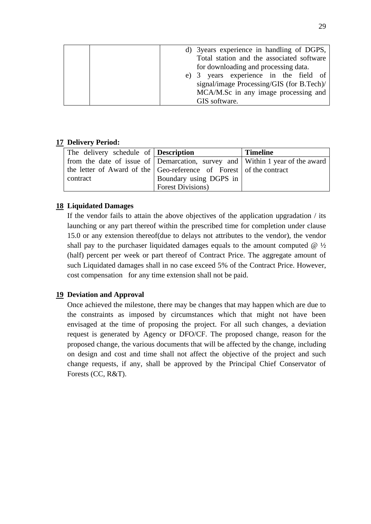|  | d) 3 years experience in handling of DGPS, |
|--|--------------------------------------------|
|  | Total station and the associated software  |
|  | for downloading and processing data.       |
|  | e) 3 years experience in the field of      |
|  | signal/image Processing/GIS (for B.Tech)/  |
|  | MCA/M.Sc in any image processing and       |
|  | GIS software.                              |

### **17 Delivery Period:**

| The delivery schedule of <b>Description</b>                                  |                           | <b>Timeline</b> |
|------------------------------------------------------------------------------|---------------------------|-----------------|
| from the date of issue of Demarcation, survey and Within 1 year of the award |                           |                 |
| the letter of Award of the Geo-reference of Forest of the contract           |                           |                 |
| contract                                                                     | Boundary using DGPS in    |                 |
|                                                                              | <b>Forest Divisions</b> ) |                 |

# **18 Liquidated Damages**

If the vendor fails to attain the above objectives of the application upgradation / its launching or any part thereof within the prescribed time for completion under clause 15.0 or any extension thereof(due to delays not attributes to the vendor), the vendor shall pay to the purchaser liquidated damages equals to the amount computed  $\omega$   $\frac{1}{2}$ (half) percent per week or part thereof of Contract Price. The aggregate amount of such Liquidated damages shall in no case exceed 5% of the Contract Price. However, cost compensation for any time extension shall not be paid.

# **19 Deviation and Approval**

Once achieved the milestone, there may be changes that may happen which are due to the constraints as imposed by circumstances which that might not have been envisaged at the time of proposing the project. For all such changes, a deviation request is generated by Agency or DFO/CF. The proposed change, reason for the proposed change, the various documents that will be affected by the change, including on design and cost and time shall not affect the objective of the project and such change requests, if any, shall be approved by the Principal Chief Conservator of Forests (CC, R&T).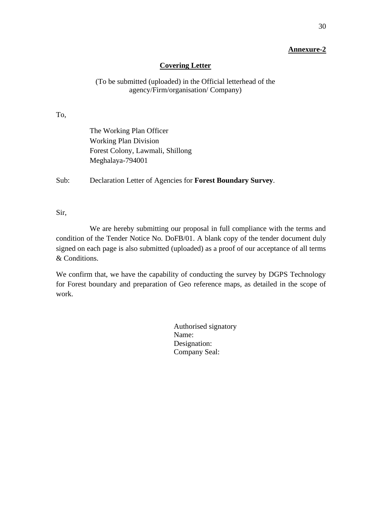# **Covering Letter**

# (To be submitted (uploaded) in the Official letterhead of the agency/Firm/organisation/ Company)

To,

| The Working Plan Officer         |
|----------------------------------|
| <b>Working Plan Division</b>     |
| Forest Colony, Lawmali, Shillong |
| Meghalaya-794001                 |

Sub: Declaration Letter of Agencies for **Forest Boundary Survey**.

Sir,

We are hereby submitting our proposal in full compliance with the terms and condition of the Tender Notice No. DoFB/01. A blank copy of the tender document duly signed on each page is also submitted (uploaded) as a proof of our acceptance of all terms & Conditions.

We confirm that, we have the capability of conducting the survey by DGPS Technology for Forest boundary and preparation of Geo reference maps, as detailed in the scope of work.

> Authorised signatory Name: Designation: Company Seal: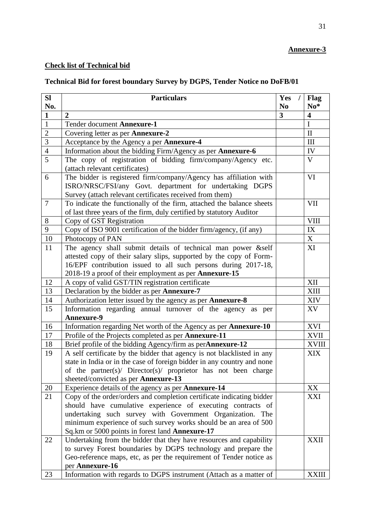# **Check list of Technical bid**

# **Technical Bid for forest boundary Survey by DGPS, Tender Notice no DoFB/01**

| SI             | <b>Particulars</b>                                                                             | Yes                     | Flag                    |
|----------------|------------------------------------------------------------------------------------------------|-------------------------|-------------------------|
| No.            |                                                                                                | N <sub>0</sub>          | $No*$                   |
| $\mathbf{1}$   | 2                                                                                              | $\overline{\mathbf{3}}$ | $\overline{\mathbf{4}}$ |
| $\mathbf{1}$   | Tender document Annexure-1                                                                     |                         | $\mathbf I$             |
| $\overline{2}$ | Covering letter as per Annexure-2                                                              |                         | $\mathbf{I}$            |
| 3              | Acceptance by the Agency a per Annexure-4                                                      |                         | III                     |
| $\overline{4}$ | Information about the bidding Firm/Agency as per <b>Annexure-6</b>                             |                         | IV                      |
| $\overline{5}$ | The copy of registration of bidding firm/company/Agency etc.<br>(attach relevant certificates) |                         | $\mathbf{V}$            |
| 6              | The bidder is registered firm/company/Agency has affiliation with                              |                         | VI                      |
|                | ISRO/NRSC/FSI/any Govt. department for undertaking DGPS                                        |                         |                         |
|                | Survey (attach relevant certificates received from them)                                       |                         |                         |
| $\overline{7}$ | To indicate the functionally of the firm, attached the balance sheets                          |                         | <b>VII</b>              |
|                | of last three years of the firm, duly certified by statutory Auditor                           |                         |                         |
| 8              | Copy of GST Registration                                                                       |                         | <b>VIII</b>             |
| 9              | Copy of ISO 9001 certification of the bidder firm/agency, (if any)                             |                         | IX                      |
| 10             | Photocopy of PAN                                                                               |                         | X                       |
| 11             | The agency shall submit details of technical man power &self                                   |                         | XI                      |
|                | attested copy of their salary slips, supported by the copy of Form-                            |                         |                         |
|                | 16/EPF contribution issued to all such persons during 2017-18,                                 |                         |                         |
|                | 2018-19 a proof of their employment as per Annexure-15                                         |                         |                         |
| 12             | A copy of valid GST/TIN registration certificate                                               |                         | XII                     |
| 13             | Declaration by the bidder as per Annexure-7                                                    |                         | <b>XIII</b>             |
| 14             | Authorization letter issued by the agency as per Annexure-8                                    |                         | XIV                     |
| 15             | Information regarding annual turnover of the agency as per<br>Annexure-9                       |                         | XV                      |
| 16             | Information regarding Net worth of the Agency as per Annexure-10                               |                         | <b>XVI</b>              |
| 17             | Profile of the Projects completed as per Annexure-11                                           |                         | <b>XVII</b>             |
| 18             | Brief profile of the bidding Agency/firm as perAnnexure-12                                     |                         | <b>XVIII</b>            |
| 19             | A self certificate by the bidder that agency is not blacklisted in any                         |                         | <b>XIX</b>              |
|                | state in India or in the case of foreign bidder in any country and none                        |                         |                         |
|                | of the partner(s)/ Director(s)/ proprietor has not been charge                                 |                         |                         |
|                | sheeted/convicted as per Annexure-13                                                           |                         |                         |
| 20             | Experience details of the agency as per <b>Annexure-14</b>                                     |                         | XX                      |
| 21             | Copy of the order/orders and completion certificate indicating bidder                          |                         | XXI                     |
|                | should have cumulative experience of executing contracts of                                    |                         |                         |
|                | undertaking such survey with Government Organization. The                                      |                         |                         |
|                | minimum experience of such survey works should be an area of 500                               |                         |                         |
|                | Sq.km or 5000 points in forest land Annexure-17                                                |                         |                         |
| 22             | Undertaking from the bidder that they have resources and capability                            |                         | <b>XXII</b>             |
|                | to survey Forest boundaries by DGPS technology and prepare the                                 |                         |                         |
|                | Geo-reference maps, etc, as per the requirement of Tender notice as                            |                         |                         |
|                | per Annexure-16                                                                                |                         |                         |
| 23             | Information with regards to DGPS instrument (Attach as a matter of                             |                         | <b>XXIII</b>            |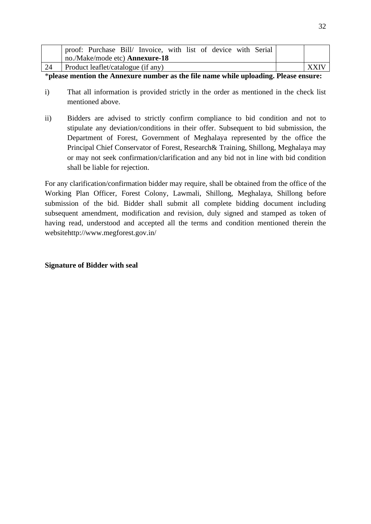|    | proof: Purchase Bill/ Invoice, with list of device with Serial |             |
|----|----------------------------------------------------------------|-------------|
|    | no./Make/mode etc) <b>Annexure-18</b>                          |             |
| 24 | Product leaflet/catalogue (if any)                             | <b>XXIV</b> |

\***please mention the Annexure number as the file name while uploading. Please ensure:**

- i) That all information is provided strictly in the order as mentioned in the check list mentioned above.
- ii) Bidders are advised to strictly confirm compliance to bid condition and not to stipulate any deviation/conditions in their offer. Subsequent to bid submission, the Department of Forest, Government of Meghalaya represented by the office the Principal Chief Conservator of Forest, Research& Training, Shillong, Meghalaya may or may not seek confirmation/clarification and any bid not in line with bid condition shall be liable for rejection.

For any clarification/confirmation bidder may require, shall be obtained from the office of the Working Plan Officer, Forest Colony, Lawmali, Shillong, Meghalaya, Shillong before submission of the bid. Bidder shall submit all complete bidding document including subsequent amendment, modification and revision, duly signed and stamped as token of having read, understood and accepted all the terms and condition mentioned therein the websitehttp://www.megforest.gov.in/

## **Signature of Bidder with seal**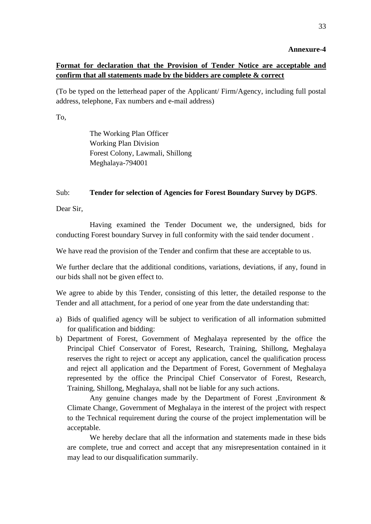# **Format for declaration that the Provision of Tender Notice are acceptable and confirm that all statements made by the bidders are complete & correct**

(To be typed on the letterhead paper of the Applicant/ Firm/Agency, including full postal address, telephone, Fax numbers and e-mail address)

To,

The Working Plan Officer Working Plan Division Forest Colony, Lawmali, Shillong Meghalaya-794001

### Sub: **Tender for selection of Agencies for Forest Boundary Survey by DGPS**.

Dear Sir,

Having examined the Tender Document we, the undersigned, bids for conducting Forest boundary Survey in full conformity with the said tender document .

We have read the provision of the Tender and confirm that these are acceptable to us.

We further declare that the additional conditions, variations, deviations, if any, found in our bids shall not be given effect to.

We agree to abide by this Tender, consisting of this letter, the detailed response to the Tender and all attachment, for a period of one year from the date understanding that:

- a) Bids of qualified agency will be subject to verification of all information submitted for qualification and bidding:
- b) Department of Forest, Government of Meghalaya represented by the office the Principal Chief Conservator of Forest, Research, Training, Shillong, Meghalaya reserves the right to reject or accept any application, cancel the qualification process and reject all application and the Department of Forest, Government of Meghalaya represented by the office the Principal Chief Conservator of Forest, Research, Training, Shillong, Meghalaya, shall not be liable for any such actions.

Any genuine changes made by the Department of Forest , Environment  $\&$ Climate Change, Government of Meghalaya in the interest of the project with respect to the Technical requirement during the course of the project implementation will be acceptable.

We hereby declare that all the information and statements made in these bids are complete, true and correct and accept that any misrepresentation contained in it may lead to our disqualification summarily.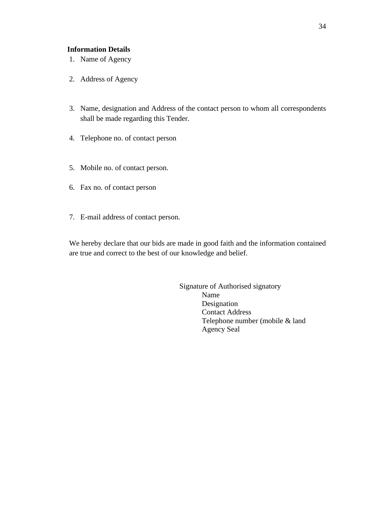#### **Information Details**

- 1. Name of Agency
- 2. Address of Agency
- 3. Name, designation and Address of the contact person to whom all correspondents shall be made regarding this Tender.
- 4. Telephone no. of contact person
- 5. Mobile no. of contact person.
- 6. Fax no. of contact person
- 7. E-mail address of contact person.

We hereby declare that our bids are made in good faith and the information contained are true and correct to the best of our knowledge and belief.

> Signature of Authorised signatory Name Designation Contact Address Telephone number (mobile & land Agency Seal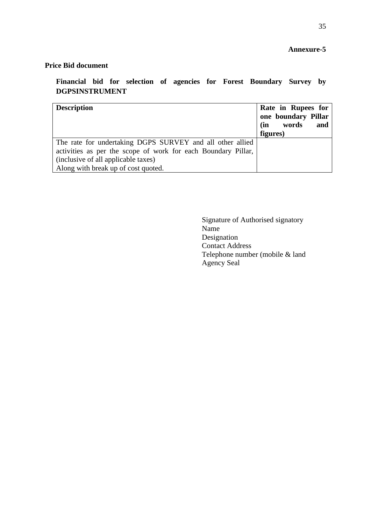# **Price Bid document**

**Financial bid for selection of agencies for Forest Boundary Survey by DGPSINSTRUMENT**

| <b>Description</b>                                            | Rate in Rupees for<br>one boundary Pillar<br>words<br>(in<br>and<br>figures) |
|---------------------------------------------------------------|------------------------------------------------------------------------------|
| The rate for undertaking DGPS SURVEY and all other allied     |                                                                              |
| activities as per the scope of work for each Boundary Pillar, |                                                                              |
| (inclusive of all applicable taxes)                           |                                                                              |
| Along with break up of cost quoted.                           |                                                                              |

Signature of Authorised signatory Name Designation Contact Address Telephone number (mobile & land Agency Seal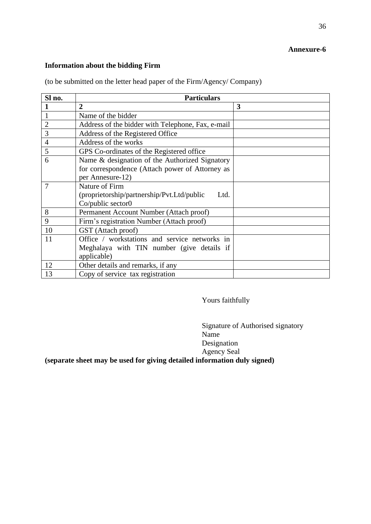# **Information about the bidding Firm**

| Sl no.         | <b>Particulars</b>                                 |   |  |  |  |  |  |
|----------------|----------------------------------------------------|---|--|--|--|--|--|
|                | $\overline{2}$                                     | 3 |  |  |  |  |  |
|                | Name of the bidder                                 |   |  |  |  |  |  |
| $\overline{2}$ | Address of the bidder with Telephone, Fax, e-mail  |   |  |  |  |  |  |
| 3              | Address of the Registered Office                   |   |  |  |  |  |  |
| $\overline{4}$ | Address of the works                               |   |  |  |  |  |  |
| 5              | GPS Co-ordinates of the Registered office          |   |  |  |  |  |  |
| 6              | Name & designation of the Authorized Signatory     |   |  |  |  |  |  |
|                | for correspondence (Attach power of Attorney as    |   |  |  |  |  |  |
|                | per Annesure-12)                                   |   |  |  |  |  |  |
| 7              | Nature of Firm                                     |   |  |  |  |  |  |
|                | (proprietorship/partnership/Pvt.Ltd/public<br>Ltd. |   |  |  |  |  |  |
|                | Co/public sector0                                  |   |  |  |  |  |  |
| 8              | Permanent Account Number (Attach proof)            |   |  |  |  |  |  |
| 9              | Firm's registration Number (Attach proof)          |   |  |  |  |  |  |
| 10             | GST (Attach proof)                                 |   |  |  |  |  |  |
| 11             | Office / workstations and service networks in      |   |  |  |  |  |  |
|                | Meghalaya with TIN number (give details if         |   |  |  |  |  |  |
|                | applicable)                                        |   |  |  |  |  |  |
| 12             | Other details and remarks, if any                  |   |  |  |  |  |  |
| 13             | Copy of service tax registration                   |   |  |  |  |  |  |

(to be submitted on the letter head paper of the Firm/Agency/ Company)

Yours faithfully

Signature of Authorised signatory Name Designation Agency Seal

**(separate sheet may be used for giving detailed information duly signed)**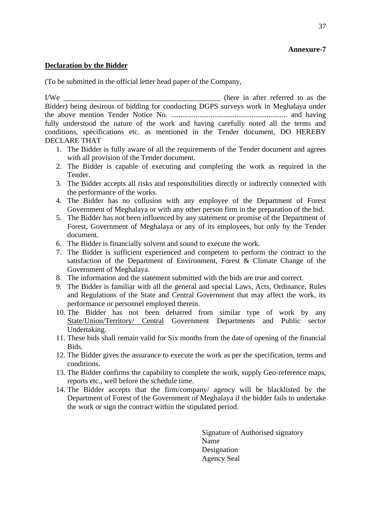### **Declaration by the Bidder**

(To be submitted in the official letter head paper of the Company,

I/We \_\_\_\_\_\_\_\_\_\_\_\_\_\_\_\_\_\_\_\_\_\_\_\_\_\_\_\_\_\_\_\_\_\_\_\_\_\_\_\_\_\_ (here in after referred to as the Bidder) being desirous of bidding for conducting DGPS surveys work in Meghalaya under the above mention Tender Notice No. .............................................................. and having fully understood the nature of the work and having carefully noted all the terms and conditions, specifications etc. as mentioned in the Tender document, DO HEREBY DECLARE THAT

- 1. The Bidder is fully aware of all the requirements of the Tender document and agrees with all provision of the Tender document.
- 2. The Bidder is capable of executing and completing the work as required in the Tender.
- 3. The Bidder accepts all risks and responsibilities directly or indirectly connected with the performance of the works.
- 4. The Bidder has no collusion with any employee of the Department of Forest Government of Meghalaya or with any other person firm in the preparation of the bid.
- 5. The Bidder has not been influenced by any statement or promise of the Department of Forest, Government of Meghalaya or any of its employees, but only by the Tender document.
- 6. The Bidder is financially solvent and sound to execute the work.
- 7. The Bidder is sufficient experienced and competent to perform the contract to the satisfaction of the Department of Environment, Forest & Climate Change of the Government of Meghalaya.
- 8. The information and the statement submitted with the bids are true and correct.
- 9. The Bidder is familiar with all the general and special Laws, Acts, Ordinance, Rules and Regulations of the State and Central Government that may affect the work, its performance or personnel employed therein.
- 10. The Bidder has not been debarred from similar type of work by any State/Union/Territory/ Central Government Departments and Public sector Undertaking.
- 11. These bids shall remain valid for Six months from the date of opening of the financial Bids.
- 12. The Bidder gives the assurance to execute the work as per the specification, terms and conditions.
- 13. The Bidder confirms the capability to complete the work, supply Geo-reference maps, reports etc., well before the schedule time.
- 14. The Bidder accepts that the firm/company/ agency will be blacklisted by the Department of Forest of the Government of Meghalaya if the bidder fails to undertake the work or sign the contract within the stipulated period.

Signature of Authorised signatory Name Designation Agency Seal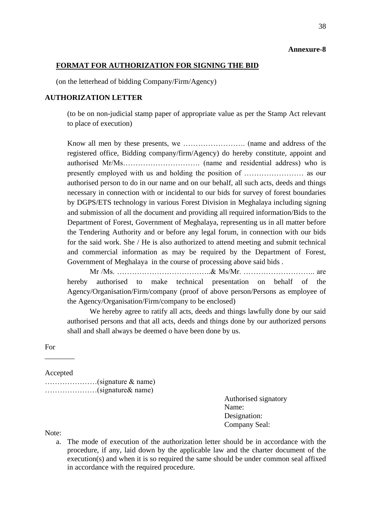#### **FORMAT FOR AUTHORIZATION FOR SIGNING THE BID**

(on the letterhead of bidding Company/Firm/Agency)

#### **AUTHORIZATION LETTER**

(to be on non-judicial stamp paper of appropriate value as per the Stamp Act relevant to place of execution)

Know all men by these presents, we ……………………. (name and address of the registered office, Bidding company/firm/Agency) do hereby constitute, appoint and authorised Mr/Ms…………………………. (name and residential address) who is presently employed with us and holding the position of …………………… as our authorised person to do in our name and on our behalf, all such acts, deeds and things necessary in connection with or incidental to our bids for survey of forest boundaries by DGPS/ETS technology in various Forest Division in Meghalaya including signing and submission of all the document and providing all required information/Bids to the Department of Forest, Government of Meghalaya, representing us in all matter before the Tendering Authority and or before any legal forum, in connection with our bids for the said work. She / He is also authorized to attend meeting and submit technical and commercial information as may be required by the Department of Forest, Government of Meghalaya in the course of processing above said bids .

Mr /Ms. ………………………………..& Ms/Mr. ……………………….. are hereby authorised to make technical presentation on behalf of the Agency/Organisation/Firm/company (proof of above person/Persons as employee of the Agency/Organisation/Firm/company to be enclosed)

We hereby agree to ratify all acts, deeds and things lawfully done by our said authorised persons and that all acts, deeds and things done by our authorized persons shall and shall always be deemed o have been done by us.

For

Accepted

 $\overline{\phantom{a}}$   $\overline{\phantom{a}}$ 

…………………(signature & name) …………………(signature& name)

> Authorised signatory Name: Designation: Company Seal:

Note:

a. The mode of execution of the authorization letter should be in accordance with the procedure, if any, laid down by the applicable law and the charter document of the execution(s) and when it is so required the same should be under common seal affixed in accordance with the required procedure.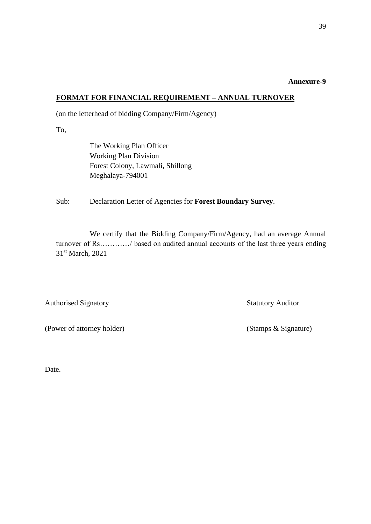#### **FORMAT FOR FINANCIAL REQUIREMENT – ANNUAL TURNOVER**

(on the letterhead of bidding Company/Firm/Agency)

To,

The Working Plan Officer Working Plan Division Forest Colony, Lawmali, Shillong Meghalaya-794001

Sub: Declaration Letter of Agencies for **Forest Boundary Survey**.

We certify that the Bidding Company/Firm/Agency, had an average Annual turnover of Rs…………/ based on audited annual accounts of the last three years ending 31st March, 2021

Authorised Signatory **Statutory Auditor** 

(Power of attorney holder) (Stamps & Signature)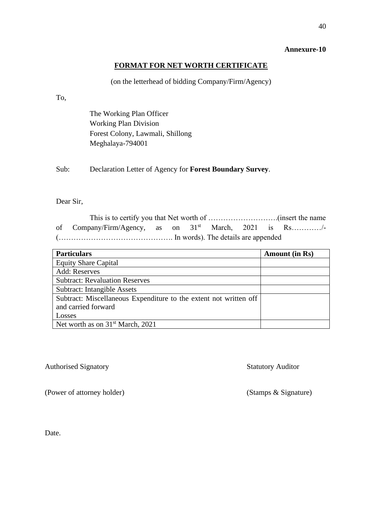# **FORMAT FOR NET WORTH CERTIFICATE**

### (on the letterhead of bidding Company/Firm/Agency)

To,

The Working Plan Officer Working Plan Division Forest Colony, Lawmali, Shillong Meghalaya-794001

Sub: Declaration Letter of Agency for **Forest Boundary Survey**.

# Dear Sir,

This is to certify you that Net worth of ……………………….(insert the name of Company/Firm/Agency, as on 31st March, 2021 is Rs…………/- (………………………………………. In words). The details are appended

| <b>Particulars</b>                                                | <b>Amount (in Rs)</b> |
|-------------------------------------------------------------------|-----------------------|
| <b>Equity Share Capital</b>                                       |                       |
| Add: Reserves                                                     |                       |
| <b>Subtract: Revaluation Reserves</b>                             |                       |
| <b>Subtract: Intangible Assets</b>                                |                       |
| Subtract: Miscellaneous Expenditure to the extent not written off |                       |
| and carried forward                                               |                       |
| Losses                                                            |                       |
| Net worth as on $31st$ March, 2021                                |                       |

### Authorised Signatory Statutory Auditor

(Power of attorney holder) (Stamps & Signature)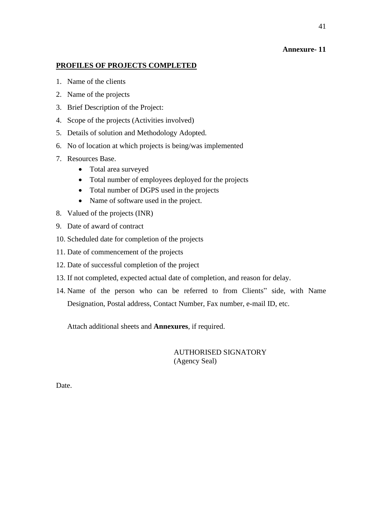# **PROFILES OF PROJECTS COMPLETED**

- 1. Name of the clients
- 2. Name of the projects
- 3. Brief Description of the Project:
- 4. Scope of the projects (Activities involved)
- 5. Details of solution and Methodology Adopted.
- 6. No of location at which projects is being/was implemented
- 7. Resources Base.
	- Total area surveyed
	- Total number of employees deployed for the projects
	- Total number of DGPS used in the projects
	- Name of software used in the project.
- 8. Valued of the projects (INR)
- 9. Date of award of contract
- 10. Scheduled date for completion of the projects
- 11. Date of commencement of the projects
- 12. Date of successful completion of the project
- 13. If not completed, expected actual date of completion, and reason for delay.
- 14. Name of the person who can be referred to from Clients" side, with Name Designation, Postal address, Contact Number, Fax number, e-mail ID, etc.

Attach additional sheets and **Annexures**, if required.

AUTHORISED SIGNATORY (Agency Seal)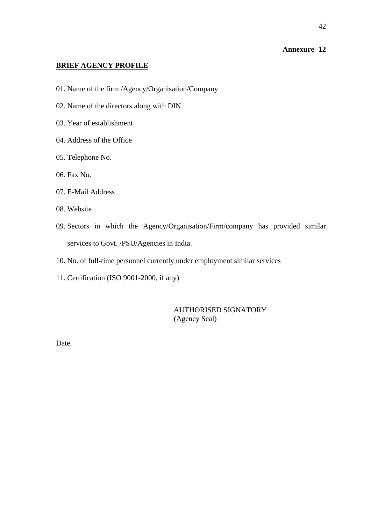# **BRIEF AGENCY PROFILE**

- 01. Name of the firm /Agency/Organisation/Company
- 02. Name of the directors along with DIN
- 03. Year of establishment
- 04. Address of the Office
- 05. Telephone No.
- 06. Fax No.
- 07. E-Mail Address
- 08. Website
- 09. Sectors in which the Agency/Organisation/Firm/company has provided similar services to Govt. /PSU/Agencies in India.
- 10. No. of full-time personnel currently under employment similar services
- 11. Certification (ISO 9001-2000, if any)

AUTHORISED SIGNATORY (Agency Seal)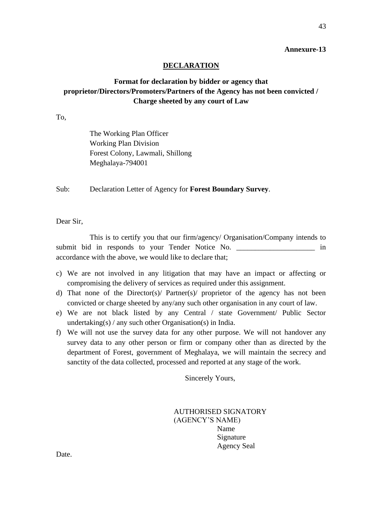#### **DECLARATION**

# **Format for declaration by bidder or agency that proprietor/Directors/Promoters/Partners of the Agency has not been convicted / Charge sheeted by any court of Law**

To,

The Working Plan Officer Working Plan Division Forest Colony, Lawmali, Shillong Meghalaya-794001

Sub: Declaration Letter of Agency for **Forest Boundary Survey**.

Dear Sir,

This is to certify you that our firm/agency/ Organisation/Company intends to submit bid in responds to your Tender Notice No. \_\_\_\_\_\_\_\_\_\_\_\_\_\_\_\_\_\_\_\_\_\_\_\_\_ in accordance with the above, we would like to declare that;

- c) We are not involved in any litigation that may have an impact or affecting or compromising the delivery of services as required under this assignment.
- d) That none of the Director(s)/ Partner(s)/ proprietor of the agency has not been convicted or charge sheeted by any/any such other organisation in any court of law.
- e) We are not black listed by any Central / state Government/ Public Sector undertaking(s) / any such other Organisation(s) in India.
- f) We will not use the survey data for any other purpose. We will not handover any survey data to any other person or firm or company other than as directed by the department of Forest, government of Meghalaya, we will maintain the secrecy and sanctity of the data collected, processed and reported at any stage of the work.

Sincerely Yours,

AUTHORISED SIGNATORY (AGENCY'S NAME) Name Signature Agency Seal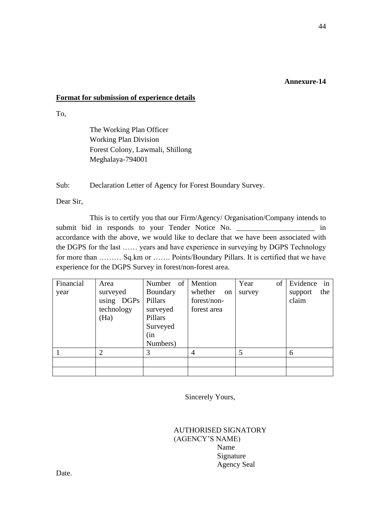### **Format for submission of experience details**

To,

The Working Plan Officer Working Plan Division Forest Colony, Lawmali, Shillong Meghalaya-794001

Sub: Declaration Letter of Agency for Forest Boundary Survey.

Dear Sir,

This is to certify you that our Firm/Agency/ Organisation/Company intends to submit bid in responds to your Tender Notice No. \_\_\_\_\_\_\_\_\_\_\_\_\_\_\_\_\_\_\_\_\_\_\_\_\_ in accordance with the above, we would like to declare that we have been associated with the DGPS for the last …… years and have experience in surveying by DGPS Technology for more than ……… Sq.km or ……. Points/Boundary Pillars. It is certified that we have experience for the DGPS Survey in forest/non-forest area.

| Financial | Area           | Number of Mention |               | Year<br>of | Evidence in    |
|-----------|----------------|-------------------|---------------|------------|----------------|
| year      | surveyed       | Boundary          | whether<br>on | survey     | the<br>support |
|           | using DGPs     | Pillars           | forest/non-   |            | claim          |
|           | technology     | surveyed          | forest area   |            |                |
|           | (Ha)           | Pillars           |               |            |                |
|           |                | Surveyed          |               |            |                |
|           |                | (in               |               |            |                |
|           |                | Numbers)          |               |            |                |
|           | $\overline{2}$ | 3                 | 4             | 5          | 6              |
|           |                |                   |               |            |                |
|           |                |                   |               |            |                |

Sincerely Yours,

AUTHORISED SIGNATORY (AGENCY'S NAME) Name Signature Agency Seal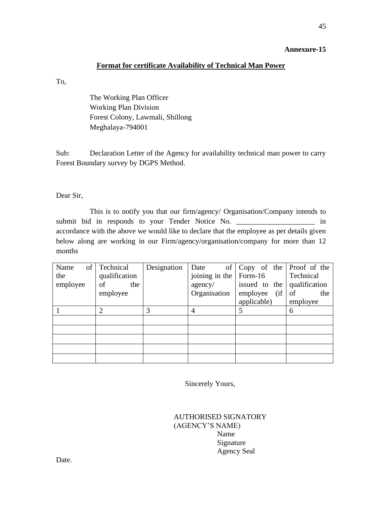# **Format for certificate Availability of Technical Man Power**

To,

The Working Plan Officer Working Plan Division Forest Colony, Lawmali, Shillong Meghalaya-794001

Sub: Declaration Letter of the Agency for availability technical man power to carry Forest Boundary survey by DGPS Method.

Dear Sir,

This is to notify you that our firm/agency/ Organisation/Company intends to submit bid in responds to your Tender Notice No.  $\qquad \qquad$  in accordance with the above we would like to declare that the employee as per details given below along are working in our Firm/agency/organisation/company for more than 12 months

| of<br>Name | Technical     | Designation              | of<br>Date   | Copy of the Proof of the |               |
|------------|---------------|--------------------------|--------------|--------------------------|---------------|
| the        | qualification | joining in the   Form-16 |              |                          | Technical     |
| employee   | of<br>the     |                          | agency/      | issued to the            | qualification |
|            | employee      |                          | Organisation | (i f)<br>employee        | of<br>the     |
|            |               |                          |              | applicable)              | employee      |
|            |               | 3                        |              | 5                        | 6             |
|            |               |                          |              |                          |               |
|            |               |                          |              |                          |               |
|            |               |                          |              |                          |               |
|            |               |                          |              |                          |               |
|            |               |                          |              |                          |               |

Sincerely Yours,

| <b>AUTHORISED SIGNATORY</b> |
|-----------------------------|
| (AGENCY'S NAME)             |
| Name                        |
| Signature                   |
| <b>Agency Seal</b>          |
|                             |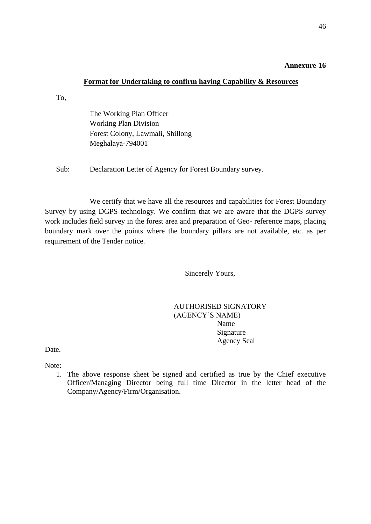### **Format for Undertaking to confirm having Capability & Resources**

To,

The Working Plan Officer Working Plan Division Forest Colony, Lawmali, Shillong Meghalaya-794001

Sub: Declaration Letter of Agency for Forest Boundary survey.

We certify that we have all the resources and capabilities for Forest Boundary Survey by using DGPS technology. We confirm that we are aware that the DGPS survey work includes field survey in the forest area and preparation of Geo- reference maps, placing boundary mark over the points where the boundary pillars are not available, etc. as per requirement of the Tender notice.

Sincerely Yours,

# AUTHORISED SIGNATORY (AGENCY'S NAME) Name Signature Agency Seal

Date.

Note:

1. The above response sheet be signed and certified as true by the Chief executive Officer/Managing Director being full time Director in the letter head of the Company/Agency/Firm/Organisation.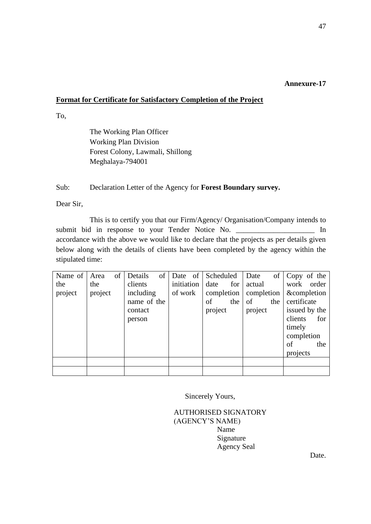# **Format for Certificate for Satisfactory Completion of the Project**

To,

The Working Plan Officer Working Plan Division Forest Colony, Lawmali, Shillong Meghalaya-794001

Sub: Declaration Letter of the Agency for **Forest Boundary survey.**

Dear Sir,

This is to certify you that our Firm/Agency/ Organisation/Company intends to submit bid in response to your Tender Notice No. \_\_\_\_\_\_\_\_\_\_\_\_\_\_\_\_\_\_\_\_\_\_\_ In accordance with the above we would like to declare that the projects as per details given below along with the details of clients have been completed by the agency within the stipulated time:

| Name of Area |         | $\sigma$ f | Details     | of | Date of Scheduled |            |     | Date       |     | of Copy of the |               |
|--------------|---------|------------|-------------|----|-------------------|------------|-----|------------|-----|----------------|---------------|
| the          | the     |            | clients     |    | initiation        | date       | for | actual     |     |                | work order    |
| project      | project |            | including   |    | of work           | completion |     | completion |     |                | &completion   |
|              |         |            | name of the |    |                   | of         | the | of         | the | certificate    |               |
|              |         |            | contact     |    |                   | project    |     | project    |     |                | issued by the |
|              |         |            | person      |    |                   |            |     |            |     | clients        | for           |
|              |         |            |             |    |                   |            |     |            |     | timely         |               |
|              |         |            |             |    |                   |            |     |            |     | completion     |               |
|              |         |            |             |    |                   |            |     |            |     | of             | the           |
|              |         |            |             |    |                   |            |     |            |     | projects       |               |
|              |         |            |             |    |                   |            |     |            |     |                |               |
|              |         |            |             |    |                   |            |     |            |     |                |               |

Sincerely Yours,

AUTHORISED SIGNATORY (AGENCY'S NAME) Name Signature Agency Seal